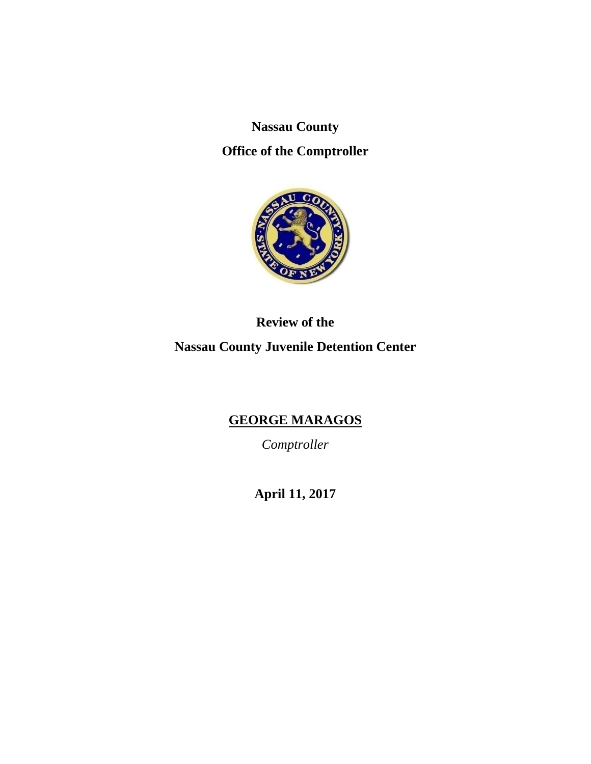**Nassau County** 

**Office of the Comptroller** 



**Review of the Nassau County Juvenile Detention Center** 

# **GEORGE MARAGOS**

*Comptroller* 

**April 11, 2017**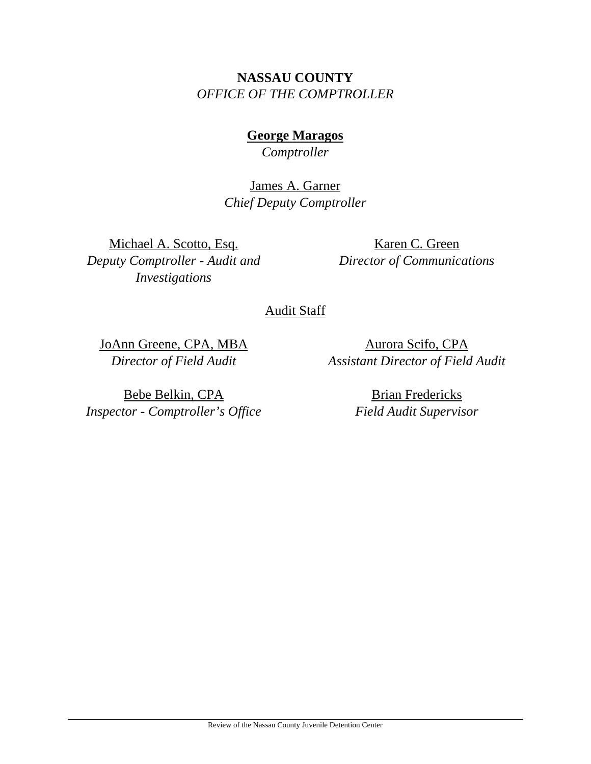# **NASSAU COUNTY**  *OFFICE OF THE COMPTROLLER*

**George Maragos**  *Comptroller* 

James A. Garner *Chief Deputy Comptroller*

Michael A. Scotto, Esq. *Deputy Comptroller - Audit and Investigations* 

Karen C. Green *Director of Communications* 

# Audit Staff

JoAnn Greene, CPA, MBA *Director of Field Audit* 

Aurora Scifo, CPA *Assistant Director of Field Audit* 

Bebe Belkin, CPA *Inspector - Comptroller's Office* 

Brian Fredericks *Field Audit Supervisor*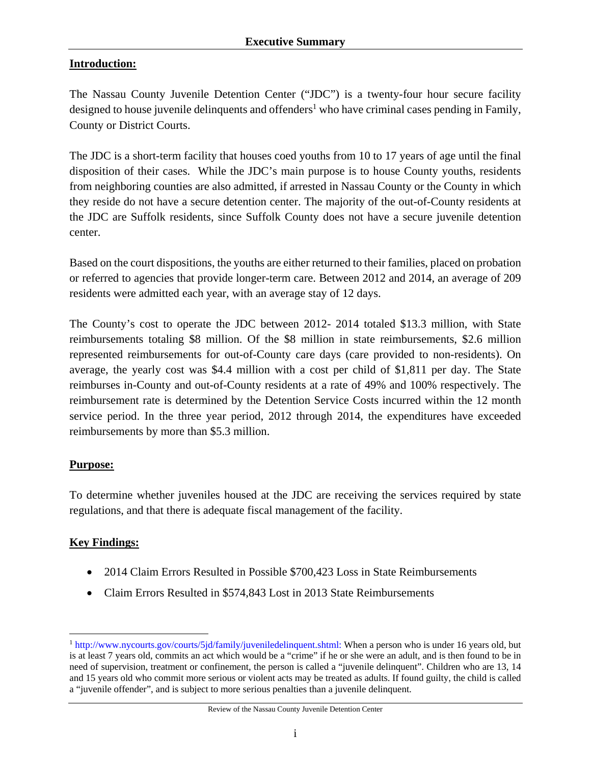### **Introduction:**

The Nassau County Juvenile Detention Center ("JDC") is a twenty-four hour secure facility designed to house juvenile delinquents and offenders<sup>1</sup> who have criminal cases pending in Family, County or District Courts.

The JDC is a short-term facility that houses coed youths from 10 to 17 years of age until the final disposition of their cases. While the JDC's main purpose is to house County youths, residents from neighboring counties are also admitted, if arrested in Nassau County or the County in which they reside do not have a secure detention center. The majority of the out-of-County residents at the JDC are Suffolk residents, since Suffolk County does not have a secure juvenile detention center.

Based on the court dispositions, the youths are either returned to their families, placed on probation or referred to agencies that provide longer-term care. Between 2012 and 2014, an average of 209 residents were admitted each year, with an average stay of 12 days.

The County's cost to operate the JDC between 2012- 2014 totaled \$13.3 million, with State reimbursements totaling \$8 million. Of the \$8 million in state reimbursements, \$2.6 million represented reimbursements for out-of-County care days (care provided to non-residents). On average, the yearly cost was \$4.4 million with a cost per child of \$1,811 per day. The State reimburses in-County and out-of-County residents at a rate of 49% and 100% respectively. The reimbursement rate is determined by the Detention Service Costs incurred within the 12 month service period. In the three year period, 2012 through 2014, the expenditures have exceeded reimbursements by more than \$5.3 million.

### **Purpose:**

To determine whether juveniles housed at the JDC are receiving the services required by state regulations, and that there is adequate fiscal management of the facility.

# **Key Findings:**

- 2014 Claim Errors Resulted in Possible \$700,423 Loss in State Reimbursements
- Claim Errors Resulted in \$574,843 Lost in 2013 State Reimbursements

 $\overline{a}$ <sup>1</sup> http://www.nycourts.gov/courts/5jd/family/juveniledelinquent.shtml: When a person who is under 16 years old, but is at least 7 years old, commits an act which would be a "crime" if he or she were an adult, and is then found to be in need of supervision, treatment or confinement, the person is called a "juvenile delinquent". Children who are 13, 14 and 15 years old who commit more serious or violent acts may be treated as adults. If found guilty, the child is called a "juvenile offender", and is subject to more serious penalties than a juvenile delinquent.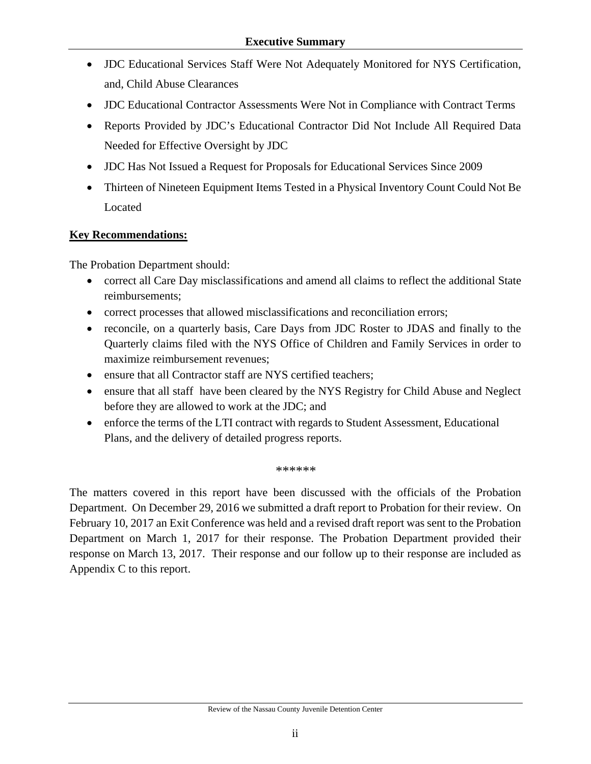- JDC Educational Services Staff Were Not Adequately Monitored for NYS Certification, and, Child Abuse Clearances
- JDC Educational Contractor Assessments Were Not in Compliance with Contract Terms
- Reports Provided by JDC's Educational Contractor Did Not Include All Required Data Needed for Effective Oversight by JDC
- JDC Has Not Issued a Request for Proposals for Educational Services Since 2009
- Thirteen of Nineteen Equipment Items Tested in a Physical Inventory Count Could Not Be Located

### **Key Recommendations:**

The Probation Department should:

- correct all Care Day misclassifications and amend all claims to reflect the additional State reimbursements;
- correct processes that allowed misclassifications and reconciliation errors;
- reconcile, on a quarterly basis, Care Days from JDC Roster to JDAS and finally to the Quarterly claims filed with the NYS Office of Children and Family Services in order to maximize reimbursement revenues;
- ensure that all Contractor staff are NYS certified teachers;
- ensure that all staff have been cleared by the NYS Registry for Child Abuse and Neglect before they are allowed to work at the JDC; and
- enforce the terms of the LTI contract with regards to Student Assessment, Educational Plans, and the delivery of detailed progress reports.

*\*\*\*\*\*\** 

The matters covered in this report have been discussed with the officials of the Probation Department. On December 29, 2016 we submitted a draft report to Probation for their review. On February 10, 2017 an Exit Conference was held and a revised draft report was sent to the Probation Department on March 1, 2017 for their response. The Probation Department provided their response on March 13, 2017. Their response and our follow up to their response are included as Appendix C to this report.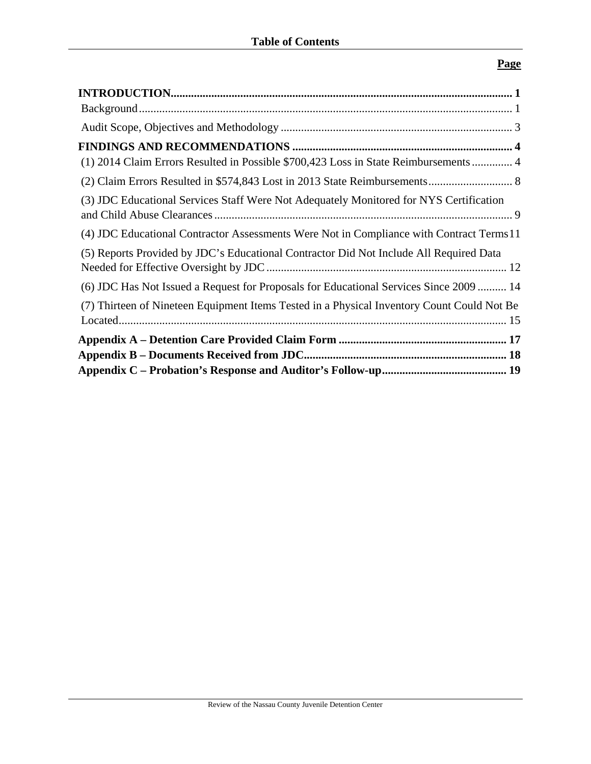# **Page**

| (1) 2014 Claim Errors Resulted in Possible \$700,423 Loss in State Reimbursements  4       |
|--------------------------------------------------------------------------------------------|
|                                                                                            |
| (3) JDC Educational Services Staff Were Not Adequately Monitored for NYS Certification     |
| (4) JDC Educational Contractor Assessments Were Not in Compliance with Contract Terms 11   |
| (5) Reports Provided by JDC's Educational Contractor Did Not Include All Required Data     |
| (6) JDC Has Not Issued a Request for Proposals for Educational Services Since 2009  14     |
| (7) Thirteen of Nineteen Equipment Items Tested in a Physical Inventory Count Could Not Be |
|                                                                                            |
|                                                                                            |
|                                                                                            |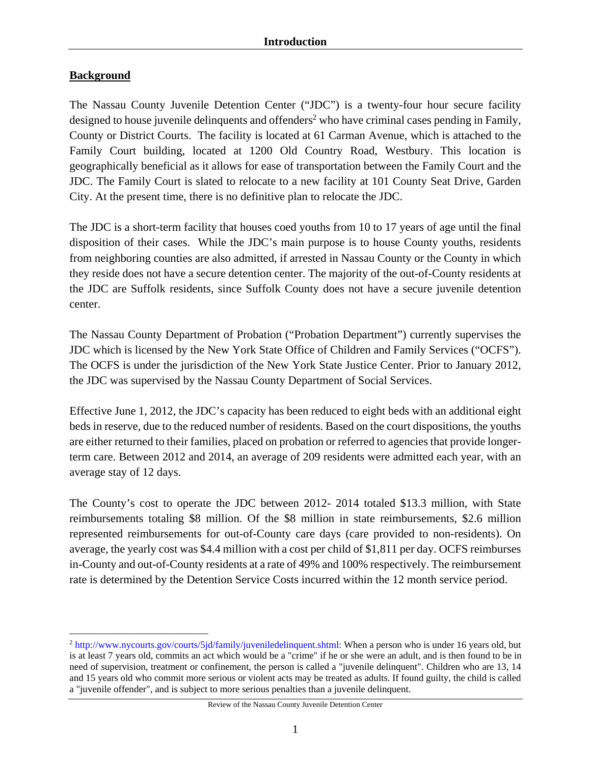### **Background**

The Nassau County Juvenile Detention Center ("JDC") is a twenty-four hour secure facility designed to house juvenile delinquents and offenders<sup>2</sup> who have criminal cases pending in Family, County or District Courts. The facility is located at 61 Carman Avenue, which is attached to the Family Court building, located at 1200 Old Country Road, Westbury. This location is geographically beneficial as it allows for ease of transportation between the Family Court and the JDC. The Family Court is slated to relocate to a new facility at 101 County Seat Drive, Garden City. At the present time, there is no definitive plan to relocate the JDC.

The JDC is a short-term facility that houses coed youths from 10 to 17 years of age until the final disposition of their cases. While the JDC's main purpose is to house County youths, residents from neighboring counties are also admitted, if arrested in Nassau County or the County in which they reside does not have a secure detention center. The majority of the out-of-County residents at the JDC are Suffolk residents, since Suffolk County does not have a secure juvenile detention center.

The Nassau County Department of Probation ("Probation Department") currently supervises the JDC which is licensed by the New York State Office of Children and Family Services ("OCFS"). The OCFS is under the jurisdiction of the New York State Justice Center. Prior to January 2012, the JDC was supervised by the Nassau County Department of Social Services.

Effective June 1, 2012, the JDC's capacity has been reduced to eight beds with an additional eight beds in reserve, due to the reduced number of residents. Based on the court dispositions, the youths are either returned to their families, placed on probation or referred to agencies that provide longerterm care. Between 2012 and 2014, an average of 209 residents were admitted each year, with an average stay of 12 days.

The County's cost to operate the JDC between 2012- 2014 totaled \$13.3 million, with State reimbursements totaling \$8 million. Of the \$8 million in state reimbursements, \$2.6 million represented reimbursements for out-of-County care days (care provided to non-residents). On average, the yearly cost was \$4.4 million with a cost per child of \$1,811 per day. OCFS reimburses in-County and out-of-County residents at a rate of 49% and 100% respectively. The reimbursement rate is determined by the Detention Service Costs incurred within the 12 month service period.

Review of the Nassau County Juvenile Detention Center

 $\overline{a}$ <sup>2</sup> http://www.nycourts.gov/courts/5jd/family/juveniledelinquent.shtml: When a person who is under 16 years old, but is at least 7 years old, commits an act which would be a "crime" if he or she were an adult, and is then found to be in need of supervision, treatment or confinement, the person is called a "juvenile delinquent". Children who are 13, 14 and 15 years old who commit more serious or violent acts may be treated as adults. If found guilty, the child is called a "juvenile offender", and is subject to more serious penalties than a juvenile delinquent.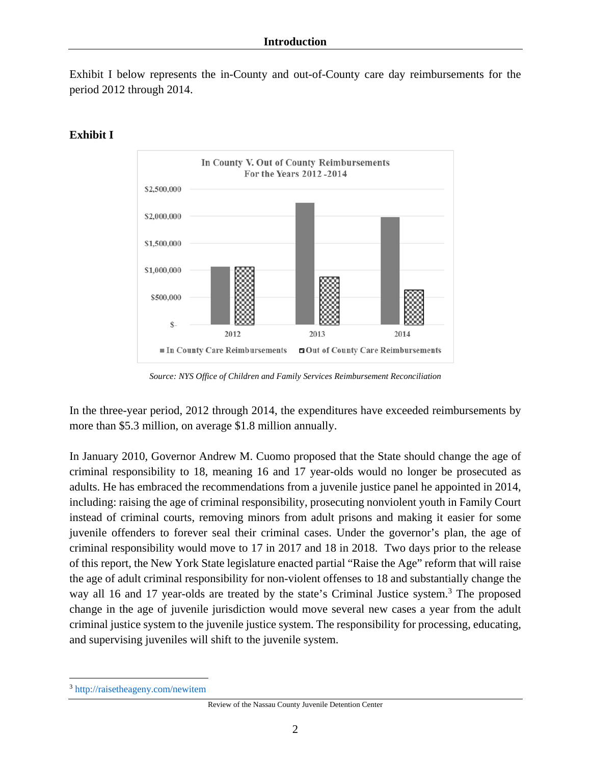Exhibit I below represents the in-County and out-of-County care day reimbursements for the period 2012 through 2014.



# **Exhibit I**

*Source: NYS Office of Children and Family Services Reimbursement Reconciliation* 

In the three-year period, 2012 through 2014, the expenditures have exceeded reimbursements by more than \$5.3 million, on average \$1.8 million annually.

In January 2010, Governor Andrew M. Cuomo proposed that the State should change the age of criminal responsibility to 18, meaning 16 and 17 year-olds would no longer be prosecuted as adults. He has embraced the recommendations from a juvenile justice panel he appointed in 2014, including: raising the age of criminal responsibility, prosecuting nonviolent youth in Family Court instead of criminal courts, removing minors from adult prisons and making it easier for some juvenile offenders to forever seal their criminal cases. Under the governor's plan, the age of criminal responsibility would move to 17 in 2017 and 18 in 2018. Two days prior to the release of this report, the New York State legislature enacted partial "Raise the Age" reform that will raise the age of adult criminal responsibility for non-violent offenses to 18 and substantially change the way all 16 and 17 year-olds are treated by the state's Criminal Justice system.<sup>3</sup> The proposed change in the age of juvenile jurisdiction would move several new cases a year from the adult criminal justice system to the juvenile justice system. The responsibility for processing, educating, and supervising juveniles will shift to the juvenile system.

<u>.</u>

<sup>3</sup> http://raisetheageny.com/newitem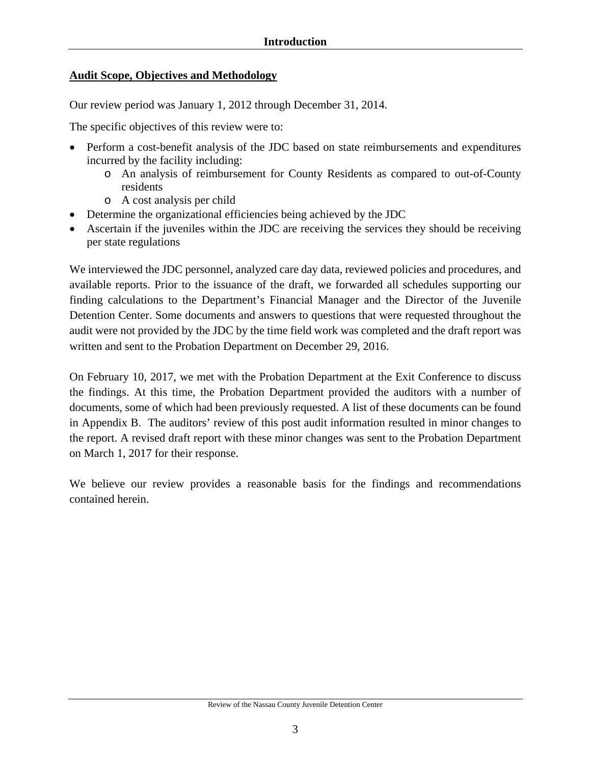### **Audit Scope, Objectives and Methodology**

Our review period was January 1, 2012 through December 31, 2014.

The specific objectives of this review were to:

- Perform a cost-benefit analysis of the JDC based on state reimbursements and expenditures incurred by the facility including:
	- o An analysis of reimbursement for County Residents as compared to out-of-County residents
	- o A cost analysis per child
- Determine the organizational efficiencies being achieved by the JDC
- Ascertain if the juveniles within the JDC are receiving the services they should be receiving per state regulations

We interviewed the JDC personnel, analyzed care day data, reviewed policies and procedures, and available reports. Prior to the issuance of the draft, we forwarded all schedules supporting our finding calculations to the Department's Financial Manager and the Director of the Juvenile Detention Center. Some documents and answers to questions that were requested throughout the audit were not provided by the JDC by the time field work was completed and the draft report was written and sent to the Probation Department on December 29, 2016.

On February 10, 2017, we met with the Probation Department at the Exit Conference to discuss the findings. At this time, the Probation Department provided the auditors with a number of documents, some of which had been previously requested. A list of these documents can be found in Appendix B. The auditors' review of this post audit information resulted in minor changes to the report. A revised draft report with these minor changes was sent to the Probation Department on March 1, 2017 for their response.

We believe our review provides a reasonable basis for the findings and recommendations contained herein.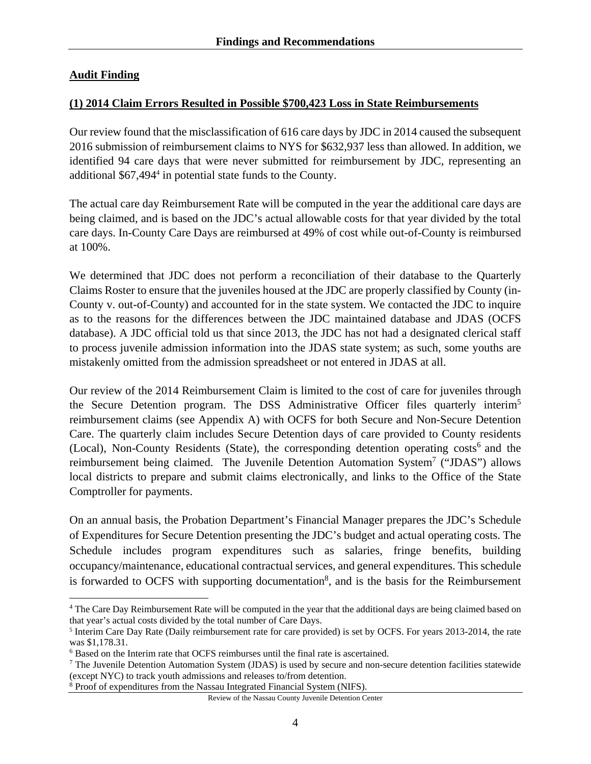### **Audit Finding**

 $\overline{a}$ 

#### **(1) 2014 Claim Errors Resulted in Possible \$700,423 Loss in State Reimbursements**

Our review found that the misclassification of 616 care days by JDC in 2014 caused the subsequent 2016 submission of reimbursement claims to NYS for \$632,937 less than allowed. In addition, we identified 94 care days that were never submitted for reimbursement by JDC, representing an additional \$67,494<sup>4</sup> in potential state funds to the County.

The actual care day Reimbursement Rate will be computed in the year the additional care days are being claimed, and is based on the JDC's actual allowable costs for that year divided by the total care days. In-County Care Days are reimbursed at 49% of cost while out-of-County is reimbursed at 100%.

We determined that JDC does not perform a reconciliation of their database to the Quarterly Claims Roster to ensure that the juveniles housed at the JDC are properly classified by County (in-County v. out-of-County) and accounted for in the state system. We contacted the JDC to inquire as to the reasons for the differences between the JDC maintained database and JDAS (OCFS database). A JDC official told us that since 2013, the JDC has not had a designated clerical staff to process juvenile admission information into the JDAS state system; as such, some youths are mistakenly omitted from the admission spreadsheet or not entered in JDAS at all.

Our review of the 2014 Reimbursement Claim is limited to the cost of care for juveniles through the Secure Detention program. The DSS Administrative Officer files quarterly interim<sup>5</sup> reimbursement claims (see Appendix A) with OCFS for both Secure and Non-Secure Detention Care. The quarterly claim includes Secure Detention days of care provided to County residents (Local), Non-County Residents (State), the corresponding detention operating  $costs<sup>6</sup>$  and the reimbursement being claimed. The Juvenile Detention Automation System<sup>7</sup> ("JDAS") allows local districts to prepare and submit claims electronically, and links to the Office of the State Comptroller for payments.

On an annual basis, the Probation Department's Financial Manager prepares the JDC's Schedule of Expenditures for Secure Detention presenting the JDC's budget and actual operating costs. The Schedule includes program expenditures such as salaries, fringe benefits, building occupancy/maintenance, educational contractual services, and general expenditures. This schedule is forwarded to OCFS with supporting documentation<sup>8</sup>, and is the basis for the Reimbursement

Review of the Nassau County Juvenile Detention Center

<sup>&</sup>lt;sup>4</sup> The Care Day Reimbursement Rate will be computed in the year that the additional days are being claimed based on that year's actual costs divided by the total number of Care Days.

<sup>5</sup> Interim Care Day Rate (Daily reimbursement rate for care provided) is set by OCFS. For years 2013-2014, the rate was \$1,178.31.

<sup>&</sup>lt;sup>6</sup> Based on the Interim rate that OCFS reimburses until the final rate is ascertained.

<sup>7</sup> The Juvenile Detention Automation System (JDAS) is used by secure and non-secure detention facilities statewide (except NYC) to track youth admissions and releases to/from detention.

<sup>&</sup>lt;sup>8</sup> Proof of expenditures from the Nassau Integrated Financial System (NIFS).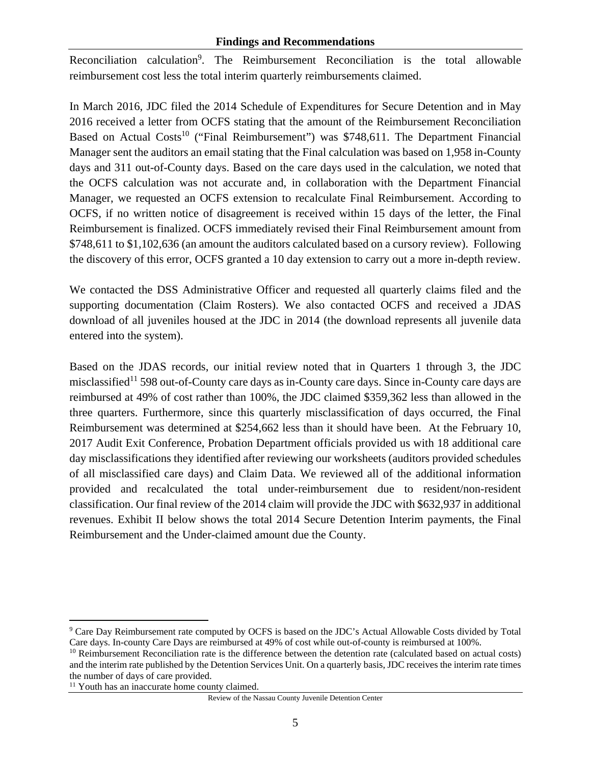#### **Findings and Recommendations**

Reconciliation calculation<sup>9</sup>. The Reimbursement Reconciliation is the total allowable reimbursement cost less the total interim quarterly reimbursements claimed.

In March 2016, JDC filed the 2014 Schedule of Expenditures for Secure Detention and in May 2016 received a letter from OCFS stating that the amount of the Reimbursement Reconciliation Based on Actual Costs<sup>10</sup> ("Final Reimbursement") was \$748,611. The Department Financial Manager sent the auditors an email stating that the Final calculation was based on 1,958 in-County days and 311 out-of-County days. Based on the care days used in the calculation, we noted that the OCFS calculation was not accurate and, in collaboration with the Department Financial Manager, we requested an OCFS extension to recalculate Final Reimbursement. According to OCFS, if no written notice of disagreement is received within 15 days of the letter, the Final Reimbursement is finalized. OCFS immediately revised their Final Reimbursement amount from \$748,611 to \$1,102,636 (an amount the auditors calculated based on a cursory review). Following the discovery of this error, OCFS granted a 10 day extension to carry out a more in-depth review.

We contacted the DSS Administrative Officer and requested all quarterly claims filed and the supporting documentation (Claim Rosters). We also contacted OCFS and received a JDAS download of all juveniles housed at the JDC in 2014 (the download represents all juvenile data entered into the system).

Based on the JDAS records, our initial review noted that in Quarters 1 through 3, the JDC misclassified<sup>11</sup> 598 out-of-County care days as in-County care days. Since in-County care days are reimbursed at 49% of cost rather than 100%, the JDC claimed \$359,362 less than allowed in the three quarters. Furthermore, since this quarterly misclassification of days occurred, the Final Reimbursement was determined at \$254,662 less than it should have been. At the February 10, 2017 Audit Exit Conference, Probation Department officials provided us with 18 additional care day misclassifications they identified after reviewing our worksheets (auditors provided schedules of all misclassified care days) and Claim Data. We reviewed all of the additional information provided and recalculated the total under-reimbursement due to resident/non-resident classification. Our final review of the 2014 claim will provide the JDC with \$632,937 in additional revenues. Exhibit II below shows the total 2014 Secure Detention Interim payments, the Final Reimbursement and the Under-claimed amount due the County.

 $\overline{a}$ 

Review of the Nassau County Juvenile Detention Center

<sup>&</sup>lt;sup>9</sup> Care Day Reimbursement rate computed by OCFS is based on the JDC's Actual Allowable Costs divided by Total Care days. In-county Care Days are reimbursed at 49% of cost while out-of-county is reimbursed at 100%.<br><sup>10</sup> Reimbursement Reconciliation rate is the difference between the detention rate (calculated based on actual costs)

and the interim rate published by the Detention Services Unit. On a quarterly basis, JDC receives the interim rate times the number of days of care provided.

<sup>&</sup>lt;sup>11</sup> Youth has an inaccurate home county claimed.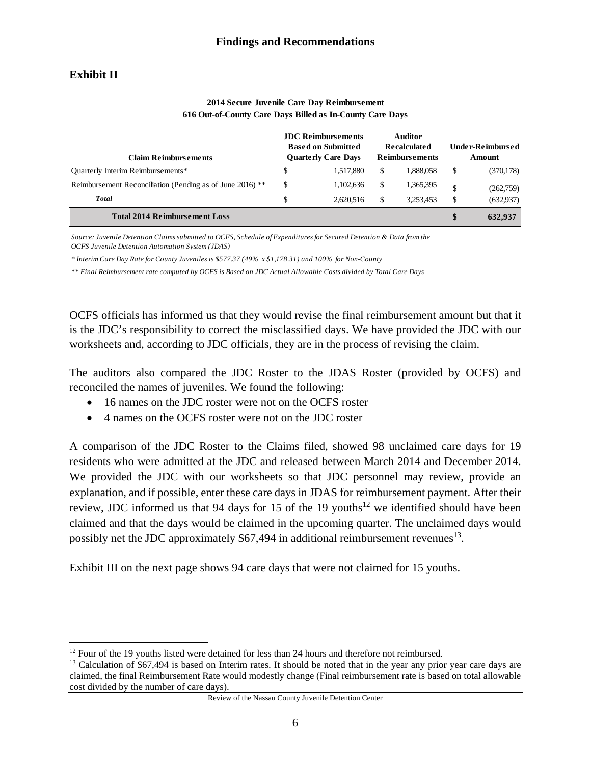### **Exhibit II**

 $\overline{a}$ 

| <b>Claim Reimbursements</b>                               |    | <b>JDC</b> Reimbursements<br><b>Based on Submitted</b><br><b>Quarterly Care Days</b> | <b>Auditor</b><br><b>Recalculated</b><br><b>Reimbursements</b> |    | <b>Under-Reimbursed</b><br>Amount |
|-----------------------------------------------------------|----|--------------------------------------------------------------------------------------|----------------------------------------------------------------|----|-----------------------------------|
| <b>Quarterly Interim Reimbursements*</b>                  |    | 1.517.880                                                                            | \$<br>1,888,058                                                | \$ | (370, 178)                        |
| Reimbursement Reconciliation (Pending as of June 2016) ** | S. | 1,102,636                                                                            | \$<br>1,365,395                                                | Φ  | (262,759)                         |
| <b>Total</b>                                              |    | 2.620.516                                                                            | 3.253.453                                                      | \$ | (632,937)                         |
| <b>Total 2014 Reimbursement Loss</b>                      |    |                                                                                      |                                                                | \$ | 632.937                           |

#### **2014 Secure Juvenile Care Day Reimbursement 616 Out-of-County Care Days Billed as In-County Care Days**

*Source: Juvenile Detention Claims submitted to OCFS, Schedule of Expenditures for Secured Detention & Data from the OCFS Juvenile Detention Automation System (JDAS)*

*\* Interim Care Day Rate for County Juveniles is \$577.37 (49% x \$1,178.31) and 100% for Non-County* 

*\*\* Final Reimbursement rate computed by OCFS is Based on JDC Actual Allowable Costs divided by Total Care Days* 

OCFS officials has informed us that they would revise the final reimbursement amount but that it is the JDC's responsibility to correct the misclassified days. We have provided the JDC with our worksheets and, according to JDC officials, they are in the process of revising the claim.

The auditors also compared the JDC Roster to the JDAS Roster (provided by OCFS) and reconciled the names of juveniles. We found the following:

- 16 names on the JDC roster were not on the OCFS roster
- 4 names on the OCFS roster were not on the JDC roster

A comparison of the JDC Roster to the Claims filed, showed 98 unclaimed care days for 19 residents who were admitted at the JDC and released between March 2014 and December 2014. We provided the JDC with our worksheets so that JDC personnel may review, provide an explanation, and if possible, enter these care days in JDAS for reimbursement payment. After their review, JDC informed us that 94 days for 15 of the 19 youths<sup>12</sup> we identified should have been claimed and that the days would be claimed in the upcoming quarter. The unclaimed days would possibly net the JDC approximately  $$67,494$  in additional reimbursement revenues<sup>13</sup>.

Exhibit III on the next page shows 94 care days that were not claimed for 15 youths.

 $12$  Four of the 19 youths listed were detained for less than 24 hours and therefore not reimbursed.

<sup>&</sup>lt;sup>13</sup> Calculation of \$67,494 is based on Interim rates. It should be noted that in the year any prior year care days are claimed, the final Reimbursement Rate would modestly change (Final reimbursement rate is based on total allowable cost divided by the number of care days).

Review of the Nassau County Juvenile Detention Center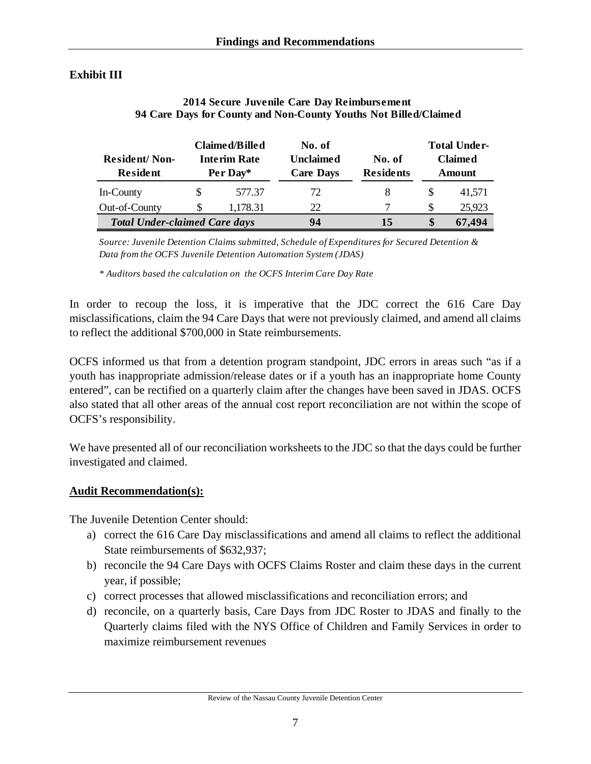## **Exhibit III**

| <b>Resident/Non-</b><br><b>Resident</b> | Claimed/Billed<br><b>Interim Rate</b><br>Per Day* |          | No. of<br><b>Unclaimed</b><br><b>Care Days</b> | No. of<br><b>Residents</b> |        | <b>Total Under-</b><br><b>Claimed</b><br>Amount |  |
|-----------------------------------------|---------------------------------------------------|----------|------------------------------------------------|----------------------------|--------|-------------------------------------------------|--|
| In-County                               |                                                   | 577.37   | 72                                             | 8                          | \$     | 41.571                                          |  |
| Out-of-County                           |                                                   | 1,178.31 | 22                                             |                            | S      | 25,923                                          |  |
| <b>Total Under-claimed Care days</b>    |                                                   | 94       | 15                                             | \$                         | 67,494 |                                                 |  |

#### **2014 Secure Juvenile Care Day Reimbursement 94 Care Days for County and Non-County Youths Not Billed/Claimed**

*Source: Juvenile Detention Claims submitted, Schedule of Expenditures for Secured Detention & Data from the OCFS Juvenile Detention Automation System (JDAS)*

*\* Auditors based the calculation on the OCFS Interim Care Day Rate*

In order to recoup the loss, it is imperative that the JDC correct the 616 Care Day misclassifications, claim the 94 Care Days that were not previously claimed, and amend all claims to reflect the additional \$700,000 in State reimbursements.

OCFS informed us that from a detention program standpoint, JDC errors in areas such "as if a youth has inappropriate admission/release dates or if a youth has an inappropriate home County entered", can be rectified on a quarterly claim after the changes have been saved in JDAS. OCFS also stated that all other areas of the annual cost report reconciliation are not within the scope of OCFS's responsibility.

We have presented all of our reconciliation worksheets to the JDC so that the days could be further investigated and claimed.

### **Audit Recommendation(s):**

The Juvenile Detention Center should:

- a) correct the 616 Care Day misclassifications and amend all claims to reflect the additional State reimbursements of \$632,937;
- b) reconcile the 94 Care Days with OCFS Claims Roster and claim these days in the current year, if possible;
- c) correct processes that allowed misclassifications and reconciliation errors; and
- d) reconcile, on a quarterly basis, Care Days from JDC Roster to JDAS and finally to the Quarterly claims filed with the NYS Office of Children and Family Services in order to maximize reimbursement revenues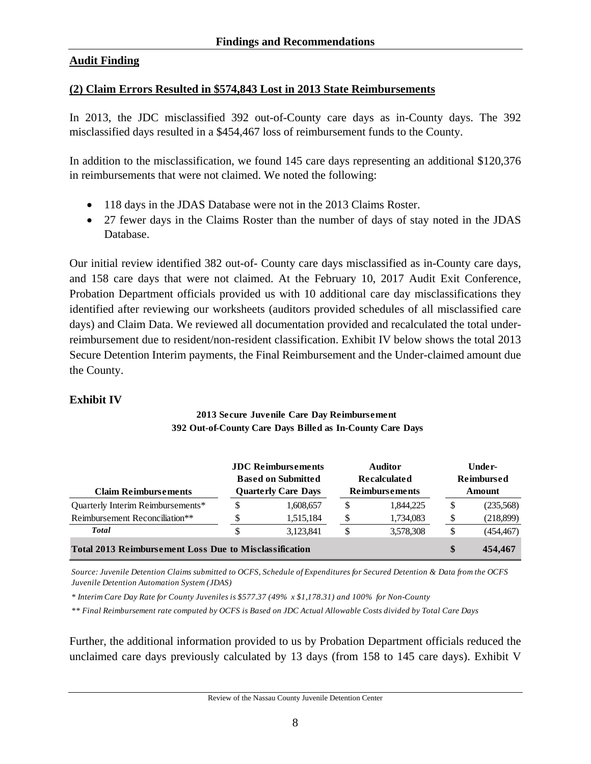### **Audit Finding**

#### **(2) Claim Errors Resulted in \$574,843 Lost in 2013 State Reimbursements**

In 2013, the JDC misclassified 392 out-of-County care days as in-County days. The 392 misclassified days resulted in a \$454,467 loss of reimbursement funds to the County.

In addition to the misclassification, we found 145 care days representing an additional \$120,376 in reimbursements that were not claimed. We noted the following:

- 118 days in the JDAS Database were not in the 2013 Claims Roster.
- 27 fewer days in the Claims Roster than the number of days of stay noted in the JDAS Database.

Our initial review identified 382 out-of- County care days misclassified as in-County care days, and 158 care days that were not claimed. At the February 10, 2017 Audit Exit Conference, Probation Department officials provided us with 10 additional care day misclassifications they identified after reviewing our worksheets (auditors provided schedules of all misclassified care days) and Claim Data. We reviewed all documentation provided and recalculated the total underreimbursement due to resident/non-resident classification. Exhibit IV below shows the total 2013 Secure Detention Interim payments, the Final Reimbursement and the Under-claimed amount due the County.

### **Exhibit IV**

| <b>Claim Reimbursements</b>                                   | <b>JDC</b> Reimbursements<br><b>Based on Submitted</b><br><b>Quarterly Care Days</b> |         | <b>Auditor</b><br><b>Recalculated</b><br><b>Reimbursements</b> |   | Under-<br><b>Reimbursed</b><br>Amount |  |
|---------------------------------------------------------------|--------------------------------------------------------------------------------------|---------|----------------------------------------------------------------|---|---------------------------------------|--|
| Quarterly Interim Reimbursements*                             | 1,608,657                                                                            | S       | 1,844,225                                                      | S | (235,568)                             |  |
| Reimbursement Reconciliation**                                | 1,515,184                                                                            |         | 1,734,083                                                      |   | (218,899)                             |  |
| <b>Total</b>                                                  | 3.123.841                                                                            |         | 3,578,308                                                      |   | (454, 467)                            |  |
| <b>Total 2013 Reimbursement Loss Due to Misclassification</b> |                                                                                      | 454,467 |                                                                |   |                                       |  |

#### **2013 Secure Juvenile Care Day Reimbursement 392 Out-of-County Care Days Billed as In-County Care Days**

*Source: Juvenile Detention Claims submitted to OCFS, Schedule of Expenditures for Secured Detention & Data from the OCFS Juvenile Detention Automation System (JDAS)*

*\* Interim Care Day Rate for County Juveniles is \$577.37 (49% x \$1,178.31) and 100% for Non-County* 

*\*\* Final Reimbursement rate computed by OCFS is Based on JDC Actual Allowable Costs divided by Total Care Days* 

Further, the additional information provided to us by Probation Department officials reduced the unclaimed care days previously calculated by 13 days (from 158 to 145 care days). Exhibit V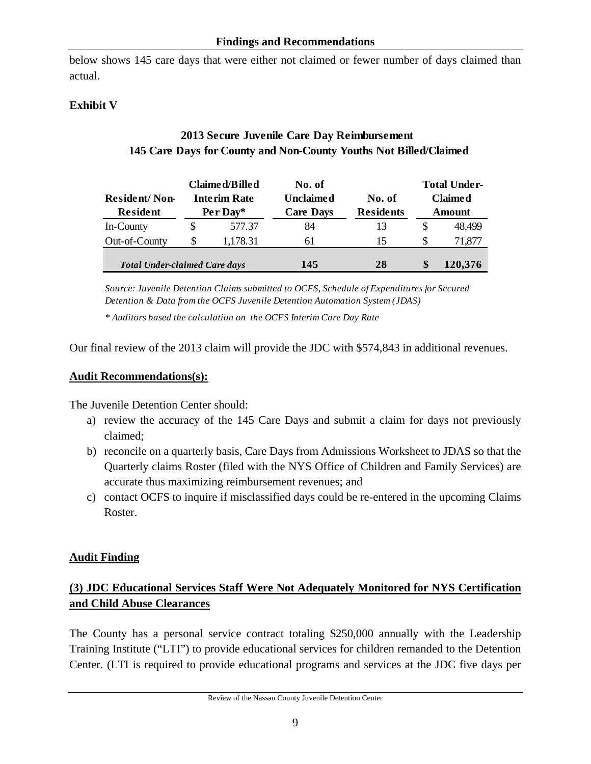below shows 145 care days that were either not claimed or fewer number of days claimed than actual.

# **Exhibit V**

# **2013 Secure Juvenile Care Day Reimbursement 145 Care Days for County and Non-County Youths Not Billed/Claimed**

| <b>Resident/Non-</b><br><b>Resident</b> | Claimed/Billed<br><b>Interim Rate</b><br>Per Day* |          | No. of<br><b>Unclaimed</b><br><b>Care Days</b> | No. of<br><b>Residents</b> | <b>Total Under-</b><br><b>Claimed</b><br>Amount |         |
|-----------------------------------------|---------------------------------------------------|----------|------------------------------------------------|----------------------------|-------------------------------------------------|---------|
| In-County                               | S                                                 | 577.37   | 84                                             | 13                         | S                                               | 48.499  |
| Out-of-County                           |                                                   | 1,178.31 | 61                                             | 15                         | S                                               | 71,877  |
| <b>Total Under-claimed Care days</b>    |                                                   |          | 145                                            | 28                         |                                                 | 120,376 |

*Source: Juvenile Detention Claims submitted to OCFS, Schedule of Expenditures for Secured Detention & Data from the OCFS Juvenile Detention Automation System (JDAS)*

*\* Auditors based the calculation on the OCFS Interim Care Day Rate*

Our final review of the 2013 claim will provide the JDC with \$574,843 in additional revenues.

#### **Audit Recommendations(s):**

The Juvenile Detention Center should:

- a) review the accuracy of the 145 Care Days and submit a claim for days not previously claimed;
- b) reconcile on a quarterly basis, Care Days from Admissions Worksheet to JDAS so that the Quarterly claims Roster (filed with the NYS Office of Children and Family Services) are accurate thus maximizing reimbursement revenues; and
- c) contact OCFS to inquire if misclassified days could be re-entered in the upcoming Claims Roster.

### **Audit Finding**

# **(3) JDC Educational Services Staff Were Not Adequately Monitored for NYS Certification and Child Abuse Clearances**

The County has a personal service contract totaling \$250,000 annually with the Leadership Training Institute ("LTI") to provide educational services for children remanded to the Detention Center. (LTI is required to provide educational programs and services at the JDC five days per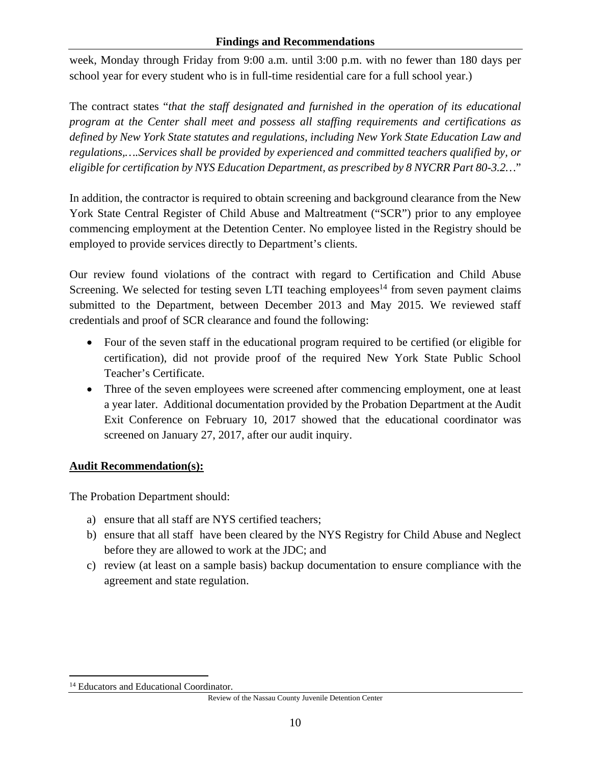week, Monday through Friday from 9:00 a.m. until 3:00 p.m. with no fewer than 180 days per school year for every student who is in full-time residential care for a full school year.)

The contract states "*that the staff designated and furnished in the operation of its educational program at the Center shall meet and possess all staffing requirements and certifications as defined by New York State statutes and regulations, including New York State Education Law and regulations,….Services shall be provided by experienced and committed teachers qualified by, or eligible for certification by NYS Education Department, as prescribed by 8 NYCRR Part 80-3.2…*"

In addition, the contractor is required to obtain screening and background clearance from the New York State Central Register of Child Abuse and Maltreatment ("SCR") prior to any employee commencing employment at the Detention Center. No employee listed in the Registry should be employed to provide services directly to Department's clients.

Our review found violations of the contract with regard to Certification and Child Abuse Screening. We selected for testing seven LTI teaching employees<sup>14</sup> from seven payment claims submitted to the Department, between December 2013 and May 2015. We reviewed staff credentials and proof of SCR clearance and found the following:

- Four of the seven staff in the educational program required to be certified (or eligible for certification), did not provide proof of the required New York State Public School Teacher's Certificate.
- Three of the seven employees were screened after commencing employment, one at least a year later. Additional documentation provided by the Probation Department at the Audit Exit Conference on February 10, 2017 showed that the educational coordinator was screened on January 27, 2017, after our audit inquiry.

# **Audit Recommendation(s):**

The Probation Department should:

- a) ensure that all staff are NYS certified teachers;
- b) ensure that all staff have been cleared by the NYS Registry for Child Abuse and Neglect before they are allowed to work at the JDC; and
- c) review (at least on a sample basis) backup documentation to ensure compliance with the agreement and state regulation.

 $\overline{a}$ 

<sup>&</sup>lt;sup>14</sup> Educators and Educational Coordinator.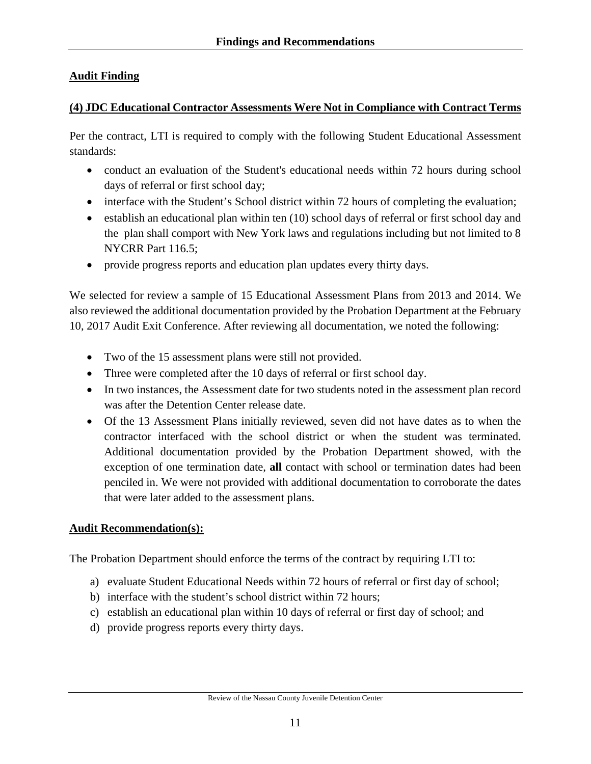# **Audit Finding**

### **(4) JDC Educational Contractor Assessments Were Not in Compliance with Contract Terms**

Per the contract, LTI is required to comply with the following Student Educational Assessment standards:

- conduct an evaluation of the Student's educational needs within 72 hours during school days of referral or first school day;
- interface with the Student's School district within 72 hours of completing the evaluation;
- $\bullet$  establish an educational plan within ten (10) school days of referral or first school day and the plan shall comport with New York laws and regulations including but not limited to 8 NYCRR Part 116.5;
- provide progress reports and education plan updates every thirty days.

We selected for review a sample of 15 Educational Assessment Plans from 2013 and 2014. We also reviewed the additional documentation provided by the Probation Department at the February 10, 2017 Audit Exit Conference. After reviewing all documentation, we noted the following:

- Two of the 15 assessment plans were still not provided.
- Three were completed after the 10 days of referral or first school day.
- In two instances, the Assessment date for two students noted in the assessment plan record was after the Detention Center release date.
- Of the 13 Assessment Plans initially reviewed, seven did not have dates as to when the contractor interfaced with the school district or when the student was terminated. Additional documentation provided by the Probation Department showed, with the exception of one termination date, **all** contact with school or termination dates had been penciled in. We were not provided with additional documentation to corroborate the dates that were later added to the assessment plans.

# **Audit Recommendation(s):**

The Probation Department should enforce the terms of the contract by requiring LTI to:

- a) evaluate Student Educational Needs within 72 hours of referral or first day of school;
- b) interface with the student's school district within 72 hours;
- c) establish an educational plan within 10 days of referral or first day of school; and
- d) provide progress reports every thirty days.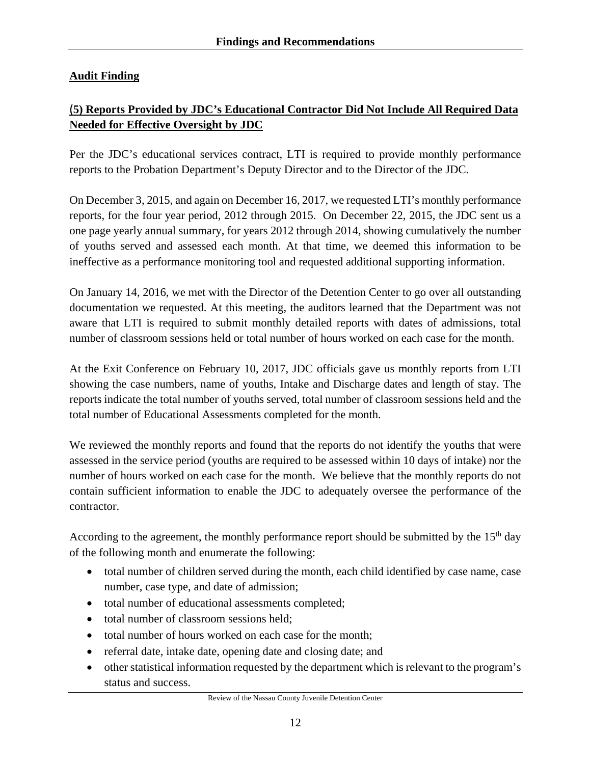# **Audit Finding**

# (**5) Reports Provided by JDC's Educational Contractor Did Not Include All Required Data Needed for Effective Oversight by JDC**

Per the JDC's educational services contract, LTI is required to provide monthly performance reports to the Probation Department's Deputy Director and to the Director of the JDC.

On December 3, 2015, and again on December 16, 2017, we requested LTI's monthly performance reports, for the four year period, 2012 through 2015. On December 22, 2015, the JDC sent us a one page yearly annual summary, for years 2012 through 2014, showing cumulatively the number of youths served and assessed each month. At that time, we deemed this information to be ineffective as a performance monitoring tool and requested additional supporting information.

On January 14, 2016, we met with the Director of the Detention Center to go over all outstanding documentation we requested. At this meeting, the auditors learned that the Department was not aware that LTI is required to submit monthly detailed reports with dates of admissions, total number of classroom sessions held or total number of hours worked on each case for the month.

At the Exit Conference on February 10, 2017, JDC officials gave us monthly reports from LTI showing the case numbers, name of youths, Intake and Discharge dates and length of stay. The reports indicate the total number of youths served, total number of classroom sessions held and the total number of Educational Assessments completed for the month.

We reviewed the monthly reports and found that the reports do not identify the youths that were assessed in the service period (youths are required to be assessed within 10 days of intake) nor the number of hours worked on each case for the month. We believe that the monthly reports do not contain sufficient information to enable the JDC to adequately oversee the performance of the contractor.

According to the agreement, the monthly performance report should be submitted by the  $15<sup>th</sup>$  day of the following month and enumerate the following:

- total number of children served during the month, each child identified by case name, case number, case type, and date of admission;
- total number of educational assessments completed;
- total number of classroom sessions held:
- total number of hours worked on each case for the month:
- referral date, intake date, opening date and closing date; and
- other statistical information requested by the department which is relevant to the program's status and success.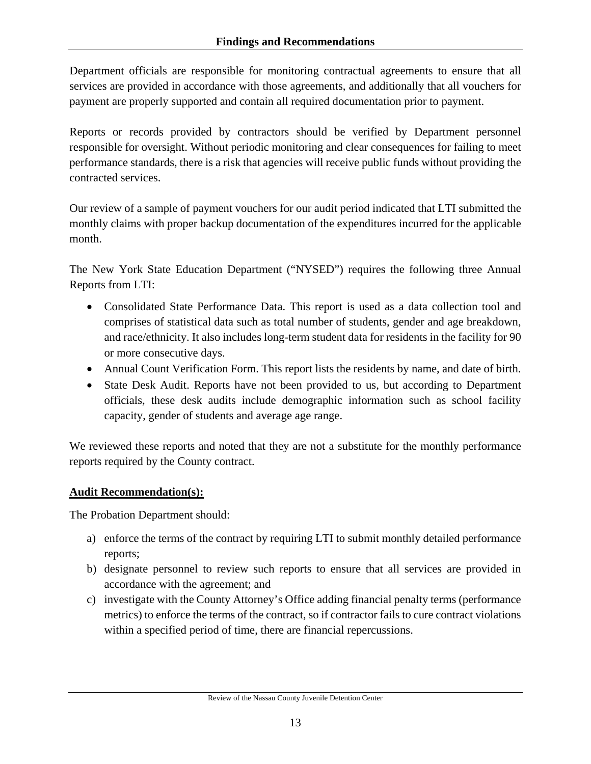Department officials are responsible for monitoring contractual agreements to ensure that all services are provided in accordance with those agreements, and additionally that all vouchers for payment are properly supported and contain all required documentation prior to payment.

Reports or records provided by contractors should be verified by Department personnel responsible for oversight. Without periodic monitoring and clear consequences for failing to meet performance standards, there is a risk that agencies will receive public funds without providing the contracted services.

Our review of a sample of payment vouchers for our audit period indicated that LTI submitted the monthly claims with proper backup documentation of the expenditures incurred for the applicable month.

The New York State Education Department ("NYSED") requires the following three Annual Reports from LTI:

- Consolidated State Performance Data. This report is used as a data collection tool and comprises of statistical data such as total number of students, gender and age breakdown, and race/ethnicity. It also includes long-term student data for residents in the facility for 90 or more consecutive days.
- Annual Count Verification Form. This report lists the residents by name, and date of birth.
- State Desk Audit. Reports have not been provided to us, but according to Department officials, these desk audits include demographic information such as school facility capacity, gender of students and average age range.

We reviewed these reports and noted that they are not a substitute for the monthly performance reports required by the County contract.

# **Audit Recommendation(s):**

The Probation Department should:

- a) enforce the terms of the contract by requiring LTI to submit monthly detailed performance reports;
- b) designate personnel to review such reports to ensure that all services are provided in accordance with the agreement; and
- c) investigate with the County Attorney's Office adding financial penalty terms (performance metrics) to enforce the terms of the contract, so if contractor fails to cure contract violations within a specified period of time, there are financial repercussions.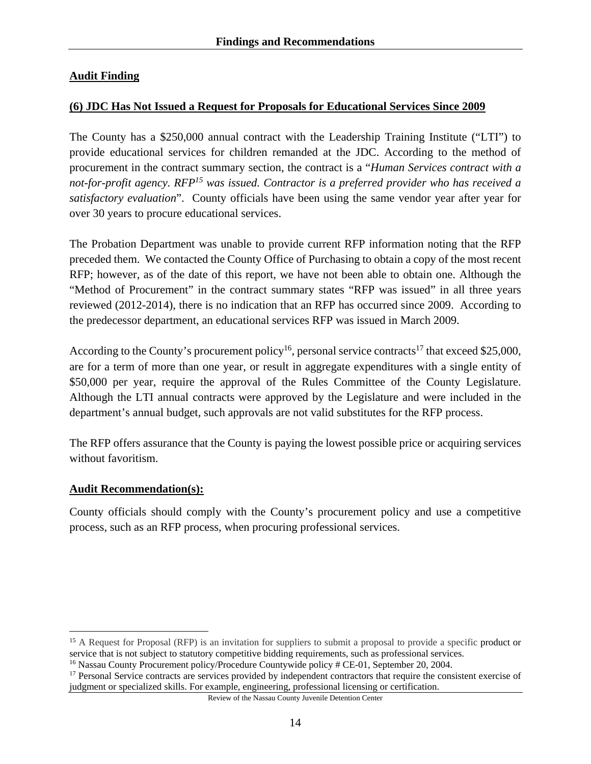### **Audit Finding**

### **(6) JDC Has Not Issued a Request for Proposals for Educational Services Since 2009**

The County has a \$250,000 annual contract with the Leadership Training Institute ("LTI") to provide educational services for children remanded at the JDC. According to the method of procurement in the contract summary section, the contract is a "*Human Services contract with a not-for-profit agency. RFP15 was issued. Contractor is a preferred provider who has received a satisfactory evaluation*". County officials have been using the same vendor year after year for over 30 years to procure educational services.

The Probation Department was unable to provide current RFP information noting that the RFP preceded them. We contacted the County Office of Purchasing to obtain a copy of the most recent RFP; however, as of the date of this report, we have not been able to obtain one. Although the "Method of Procurement" in the contract summary states "RFP was issued" in all three years reviewed (2012-2014), there is no indication that an RFP has occurred since 2009. According to the predecessor department, an educational services RFP was issued in March 2009.

According to the County's procurement policy<sup>16</sup>, personal service contracts<sup>17</sup> that exceed \$25,000, are for a term of more than one year, or result in aggregate expenditures with a single entity of \$50,000 per year, require the approval of the Rules Committee of the County Legislature. Although the LTI annual contracts were approved by the Legislature and were included in the department's annual budget, such approvals are not valid substitutes for the RFP process.

The RFP offers assurance that the County is paying the lowest possible price or acquiring services without favoritism.

#### **Audit Recommendation(s):**

 $\overline{a}$ 

County officials should comply with the County's procurement policy and use a competitive process, such as an RFP process, when procuring professional services.

Review of the Nassau County Juvenile Detention Center

<sup>&</sup>lt;sup>15</sup> A Request for Proposal (RFP) is an invitation for suppliers to submit a proposal to provide a specific product or service that is not subject to statutory competitive bidding requirements, such as professional services.

<sup>&</sup>lt;sup>16</sup> Nassau County Procurement policy/Procedure Countywide policy # CE-01, September 20, 2004.

<sup>&</sup>lt;sup>17</sup> Personal Service contracts are services provided by independent contractors that require the consistent exercise of judgment or specialized skills. For example, engineering, professional licensing or certification.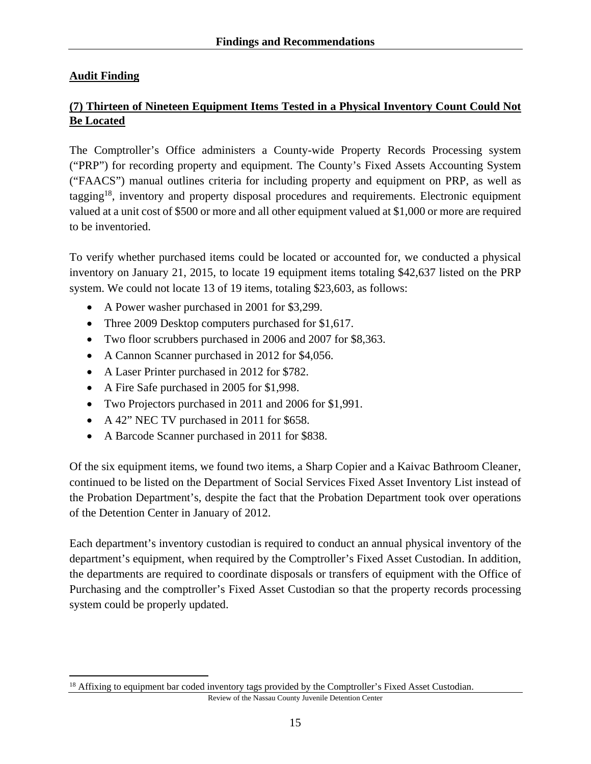# **Audit Finding**

 $\overline{a}$ 

# **(7) Thirteen of Nineteen Equipment Items Tested in a Physical Inventory Count Could Not Be Located**

The Comptroller's Office administers a County-wide Property Records Processing system ("PRP") for recording property and equipment. The County's Fixed Assets Accounting System ("FAACS") manual outlines criteria for including property and equipment on PRP, as well as tagging18, inventory and property disposal procedures and requirements. Electronic equipment valued at a unit cost of \$500 or more and all other equipment valued at \$1,000 or more are required to be inventoried.

To verify whether purchased items could be located or accounted for, we conducted a physical inventory on January 21, 2015, to locate 19 equipment items totaling \$42,637 listed on the PRP system. We could not locate 13 of 19 items, totaling \$23,603, as follows:

- A Power washer purchased in 2001 for \$3,299.
- Three 2009 Desktop computers purchased for \$1,617.
- Two floor scrubbers purchased in 2006 and 2007 for \$8,363.
- A Cannon Scanner purchased in 2012 for \$4,056.
- A Laser Printer purchased in 2012 for \$782.
- A Fire Safe purchased in 2005 for \$1,998.
- Two Projectors purchased in 2011 and 2006 for \$1,991.
- A 42" NEC TV purchased in 2011 for \$658.
- A Barcode Scanner purchased in 2011 for \$838.

Of the six equipment items, we found two items, a Sharp Copier and a Kaivac Bathroom Cleaner, continued to be listed on the Department of Social Services Fixed Asset Inventory List instead of the Probation Department's, despite the fact that the Probation Department took over operations of the Detention Center in January of 2012.

Each department's inventory custodian is required to conduct an annual physical inventory of the department's equipment, when required by the Comptroller's Fixed Asset Custodian. In addition, the departments are required to coordinate disposals or transfers of equipment with the Office of Purchasing and the comptroller's Fixed Asset Custodian so that the property records processing system could be properly updated.

Review of the Nassau County Juvenile Detention Center

<sup>&</sup>lt;sup>18</sup> Affixing to equipment bar coded inventory tags provided by the Comptroller's Fixed Asset Custodian.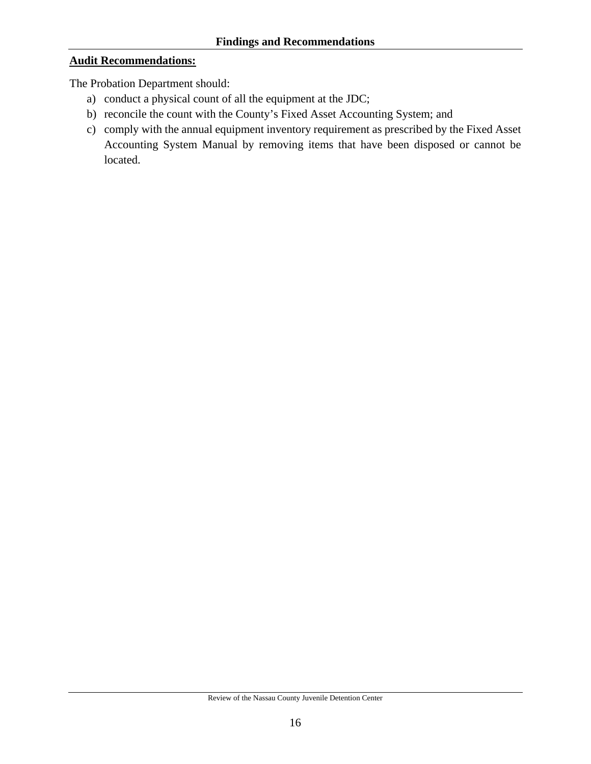#### **Audit Recommendations:**

The Probation Department should:

- a) conduct a physical count of all the equipment at the JDC;
- b) reconcile the count with the County's Fixed Asset Accounting System; and
- c) comply with the annual equipment inventory requirement as prescribed by the Fixed Asset Accounting System Manual by removing items that have been disposed or cannot be located.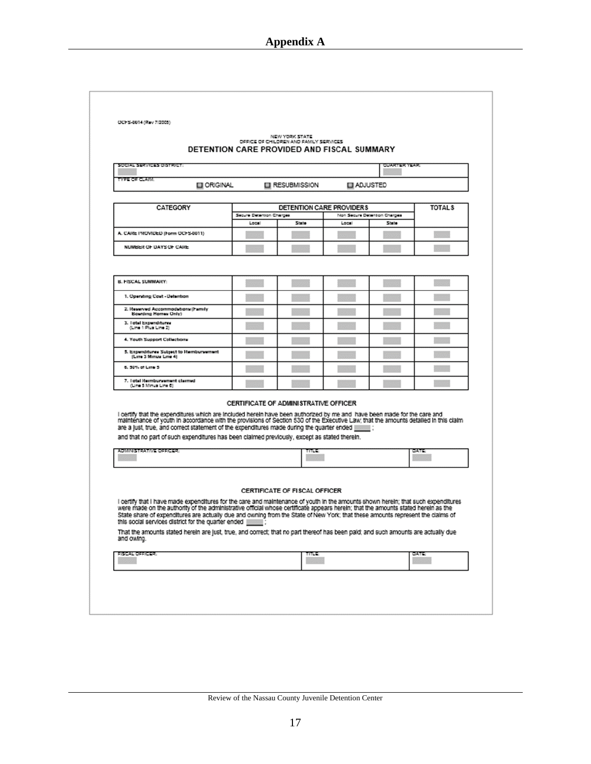| OCFS-0014 (Rev 7/2005)                                                                                                                                                                                                                                                                                                                                                                                                                                                                                                                                                                               | DETENTION CARE PROVIDED AND FISCAL SUMMARY | NEW YORK STATE<br>OFFICE OF CHILDREN AND FAMILY SERVICES |                          |                              |               |
|------------------------------------------------------------------------------------------------------------------------------------------------------------------------------------------------------------------------------------------------------------------------------------------------------------------------------------------------------------------------------------------------------------------------------------------------------------------------------------------------------------------------------------------------------------------------------------------------------|--------------------------------------------|----------------------------------------------------------|--------------------------|------------------------------|---------------|
| くういだい イセリバーショウショウジーズ                                                                                                                                                                                                                                                                                                                                                                                                                                                                                                                                                                                 |                                            |                                                          |                          | <b>CUARTER YEAR</b>          |               |
| YPE OF CLAIM.<br><b>EI ORIGINAL</b>                                                                                                                                                                                                                                                                                                                                                                                                                                                                                                                                                                  |                                            | <b>EI RESUBMISSION</b>                                   | <b>ELI ADJUSTED</b>      |                              |               |
|                                                                                                                                                                                                                                                                                                                                                                                                                                                                                                                                                                                                      |                                            |                                                          |                          |                              |               |
| <b>CATEGORY</b>                                                                                                                                                                                                                                                                                                                                                                                                                                                                                                                                                                                      | Secure Detention Charges                   |                                                          | DETENTION CARE PROVIDERS | Non Secure Detention Charges | <b>TOTALS</b> |
|                                                                                                                                                                                                                                                                                                                                                                                                                                                                                                                                                                                                      | Local                                      | State                                                    | Local                    | State                        |               |
| A. CARE PROVIDED (Form OCFS-8011)                                                                                                                                                                                                                                                                                                                                                                                                                                                                                                                                                                    |                                            |                                                          |                          |                              |               |
| NUMBER OF DAYS OF CARE                                                                                                                                                                                                                                                                                                                                                                                                                                                                                                                                                                               |                                            |                                                          |                          |                              |               |
|                                                                                                                                                                                                                                                                                                                                                                                                                                                                                                                                                                                                      |                                            |                                                          |                          |                              |               |
| <b>B. FISCAL SUMMARY:</b>                                                                                                                                                                                                                                                                                                                                                                                                                                                                                                                                                                            |                                            |                                                          |                          |                              |               |
| 1. Opending Cost - Detenbon                                                                                                                                                                                                                                                                                                                                                                                                                                                                                                                                                                          |                                            |                                                          |                          |                              |               |
| 2. Reserved Accommodations (Family<br><b>Boarding Homes Only)</b>                                                                                                                                                                                                                                                                                                                                                                                                                                                                                                                                    |                                            |                                                          |                          |                              |               |
| 3. l'otal Expenditures<br>(Line 1 Plus Line 2)                                                                                                                                                                                                                                                                                                                                                                                                                                                                                                                                                       |                                            |                                                          |                          |                              |               |
| 4. Youth Support Collections                                                                                                                                                                                                                                                                                                                                                                                                                                                                                                                                                                         |                                            |                                                          |                          |                              |               |
| 5. Expenditures Subject to Rembursement<br>(Line 3 Minus Line 4)                                                                                                                                                                                                                                                                                                                                                                                                                                                                                                                                     |                                            |                                                          |                          |                              |               |
| 6. 50% of Late 5                                                                                                                                                                                                                                                                                                                                                                                                                                                                                                                                                                                     |                                            |                                                          |                          |                              |               |
| 7. Total Reimburgement claimed<br>(Line 5 Minus Line 6)                                                                                                                                                                                                                                                                                                                                                                                                                                                                                                                                              |                                            |                                                          |                          |                              |               |
| I certify that the expenditures which are included herein have been authorized by me and have been made for the care and<br>maintenance of youth in accordance with the provisions of Section 530 of the Executive Law; that the amounts detailed in this claim<br>are a just, true, and correct statement of the expenditures made during the quarter ended [[[[[[[[[[<br>and that no part of such expenditures has been claimed previously, except as stated therein.<br><b>MARIA MARTIN CONTENT</b>                                                                                               | CERTIFICATE OF ADMINISTRATIVE OFFICER      |                                                          |                          |                              |               |
| I certify that I have made expenditures for the care and maintenance of youth in the amounts shown herein; that such expenditures<br>were made on the authority of the administrative official whose certificate appears herein; that the amounts stated herein as the<br>State share of expenditures are actually due and owning from the State of New York; that these amounts represent the claims of<br>this social services district for the quarter ended<br>That the amounts stated herein are just, true, and correct; that no part thereof has been paid; and such amounts are actually due |                                            | CERTIFICATE OF FISCAL OFFICER                            |                          |                              |               |
| and owing.                                                                                                                                                                                                                                                                                                                                                                                                                                                                                                                                                                                           |                                            |                                                          |                          |                              |               |
| <b>SMARTOSSICHE</b>                                                                                                                                                                                                                                                                                                                                                                                                                                                                                                                                                                                  |                                            | mus                                                      |                          |                              | <b>DATE</b>   |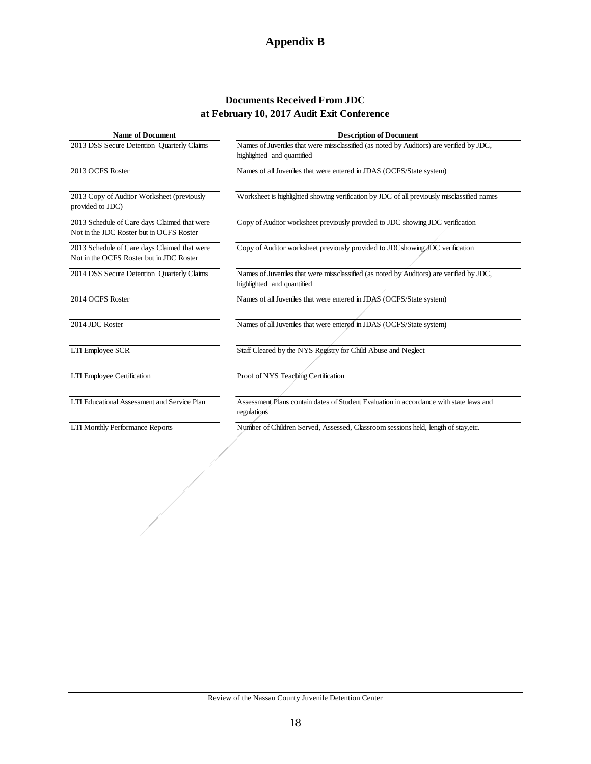#### **Documents Received From JDC at February 10, 2017 Audit Exit Conference**

| <b>Name of Document</b>                                                                  | <b>Description of Document</b>                                                                                        |
|------------------------------------------------------------------------------------------|-----------------------------------------------------------------------------------------------------------------------|
| 2013 DSS Secure Detention Quarterly Claims                                               | Names of Juveniles that were missclassified (as noted by Auditors) are verified by JDC,<br>highlighted and quantified |
| 2013 OCFS Roster                                                                         | Names of all Juveniles that were entered in JDAS (OCFS/State system)                                                  |
| 2013 Copy of Auditor Worksheet (previously<br>provided to JDC)                           | Worksheet is highlighted showing verification by JDC of all previously misclassified names                            |
| 2013 Schedule of Care days Claimed that were<br>Not in the JDC Roster but in OCFS Roster | Copy of Auditor worksheet previously provided to JDC showing JDC verification                                         |
| 2013 Schedule of Care days Claimed that were<br>Not in the OCFS Roster but in JDC Roster | Copy of Auditor worksheet previously provided to JDCshowing JDC verification                                          |
| 2014 DSS Secure Detention Quarterly Claims                                               | Names of Juveniles that were missclassified (as noted by Auditors) are verified by JDC,<br>highlighted and quantified |
| 2014 OCFS Roster                                                                         | Names of all Juveniles that were entered in JDAS (OCFS/State system)                                                  |
| 2014 JDC Roster                                                                          | Names of all Juveniles that were entered in JDAS (OCFS/State system)                                                  |
| LTI Employee SCR                                                                         | Staff Cleared by the NYS Registry for Child Abuse and Neglect                                                         |
| LTI Employee Certification                                                               | Proof of NYS Teaching Certification                                                                                   |
| LTI Educational Assessment and Service Plan                                              | Assessment Plans contain dates of Student Evaluation in accordance with state laws and<br>regulations                 |
| <b>LTI Monthly Performance Reports</b>                                                   | Number of Children Served, Assessed, Classroom sessions held, length of stay, etc.                                    |
|                                                                                          |                                                                                                                       |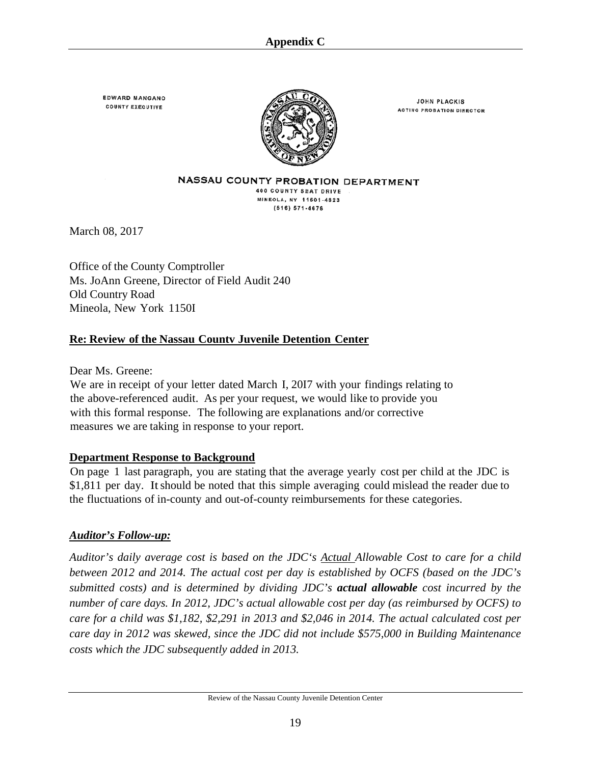**EDWARD MANGANO COUNTY EXECUTIVE** 



**JOHN PLACKIS ACTING PROBATION DIRECTOR** 

NASSAU COUNTY PROBATION DEPARTMENT 400 COUNTY SEAT DRIVE MINEOLA, NY 11501-4823 (516) 571-4676

March 08, 2017

Office of the County Comptroller Ms. JoAnn Greene, Director of Field Audit 240 Old Country Road Mineola, New York 1150I

### **Re: Review of the Nassau Countv Juvenile Detention Center**

Dear Ms. Greene:

We are in receipt of your letter dated March I, 20I7 with your findings relating to the above-referenced audit. As per your request, we would like to provide you with this formal response. The following are explanations and/or corrective measures we are taking in response to your report.

### **Department Response to Background**

On page 1 last paragraph, you are stating that the average yearly cost per child at the JDC is \$1,811 per day. It should be noted that this simple averaging could mislead the reader due to the fluctuations of in-county and out-of-county reimbursements for these categories.

### *Auditor's Follow-up:*

*Auditor's daily average cost is based on the JDC's Actual Allowable Cost to care for a child between 2012 and 2014. The actual cost per day is established by OCFS (based on the JDC's submitted costs) and is determined by dividing JDC's actual allowable cost incurred by the number of care days. In 2012, JDC's actual allowable cost per day (as reimbursed by OCFS) to care for a child was \$1,182, \$2,291 in 2013 and \$2,046 in 2014. The actual calculated cost per care day in 2012 was skewed, since the JDC did not include \$575,000 in Building Maintenance costs which the JDC subsequently added in 2013.*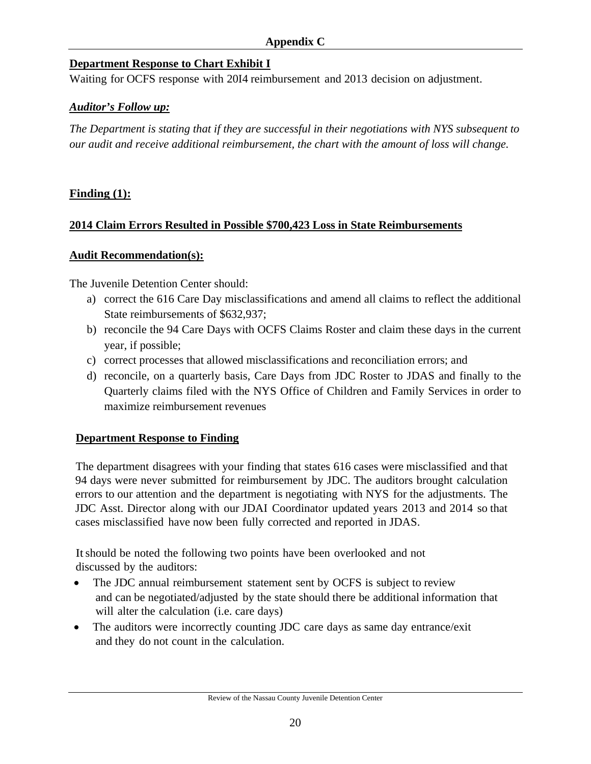#### **Appendix C**

### **Department Response to Chart Exhibit I**

Waiting for OCFS response with 20I4 reimbursement and 2013 decision on adjustment.

#### *Auditor's Follow up:*

*The Department is stating that if they are successful in their negotiations with NYS subsequent to our audit and receive additional reimbursement, the chart with the amount of loss will change.* 

### **Finding (1):**

#### **2014 Claim Errors Resulted in Possible \$700,423 Loss in State Reimbursements**

#### **Audit Recommendation(s):**

The Juvenile Detention Center should:

- a) correct the 616 Care Day misclassifications and amend all claims to reflect the additional State reimbursements of \$632,937;
- b) reconcile the 94 Care Days with OCFS Claims Roster and claim these days in the current year, if possible;
- c) correct processes that allowed misclassifications and reconciliation errors; and
- d) reconcile, on a quarterly basis, Care Days from JDC Roster to JDAS and finally to the Quarterly claims filed with the NYS Office of Children and Family Services in order to maximize reimbursement revenues

### **Department Response to Finding**

The department disagrees with your finding that states 616 cases were misclassified and that 94 days were never submitted for reimbursement by JDC. The auditors brought calculation errors to our attention and the department is negotiating with NYS for the adjustments. The JDC Asst. Director along with our JDAI Coordinator updated years 2013 and 2014 so that cases misclassified have now been fully corrected and reported in JDAS.

Itshould be noted the following two points have been overlooked and not discussed by the auditors:

- The JDC annual reimbursement statement sent by OCFS is subject to review and can be negotiated/adjusted by the state should there be additional information that will alter the calculation (*i.e.* care days)
- The auditors were incorrectly counting JDC care days as same day entrance/exit and they do not count in the calculation.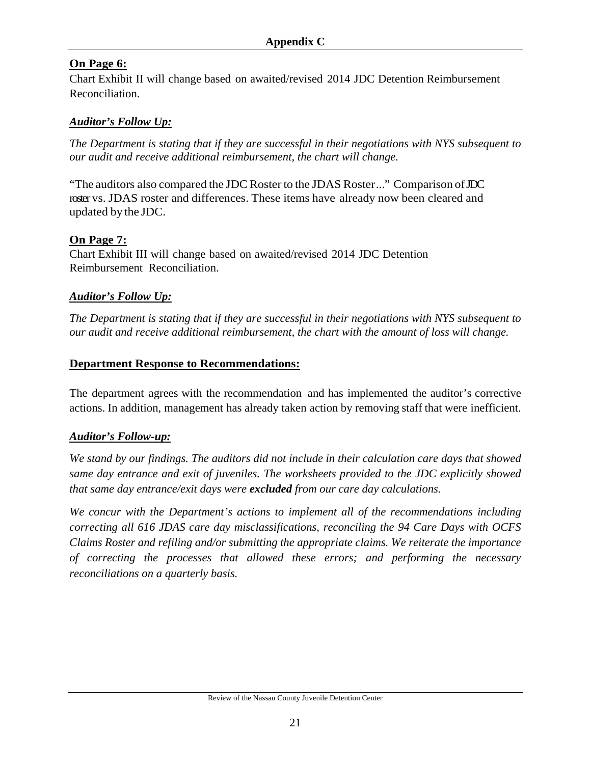# **On Page 6:**

Chart Exhibit II will change based on awaited/revised 2014 JDC Detention Reimbursement Reconciliation.

# *Auditor's Follow Up:*

*The Department is stating that if they are successful in their negotiations with NYS subsequent to our audit and receive additional reimbursement, the chart will change.* 

"The auditors also compared the JDC Roster to the JDAS Roster ..." Comparison of JDC roster vs. JDAS roster and differences. These items have already now been cleared and updated by the JDC.

### **On Page 7:**

Chart Exhibit III will change based on awaited/revised 2014 JDC Detention Reimbursement Reconciliation.

### *Auditor's Follow Up:*

*The Department is stating that if they are successful in their negotiations with NYS subsequent to our audit and receive additional reimbursement, the chart with the amount of loss will change.* 

### **Department Response to Recommendations:**

The department agrees with the recommendation and has implemented the auditor's corrective actions. In addition, management has already taken action by removing staff that were inefficient.

# *Auditor's Follow-up:*

*We stand by our findings. The auditors did not include in their calculation care days that showed same day entrance and exit of juveniles. The worksheets provided to the JDC explicitly showed that same day entrance/exit days were excluded from our care day calculations.* 

*We concur with the Department's actions to implement all of the recommendations including correcting all 616 JDAS care day misclassifications, reconciling the 94 Care Days with OCFS Claims Roster and refiling and/or submitting the appropriate claims. We reiterate the importance of correcting the processes that allowed these errors; and performing the necessary reconciliations on a quarterly basis.*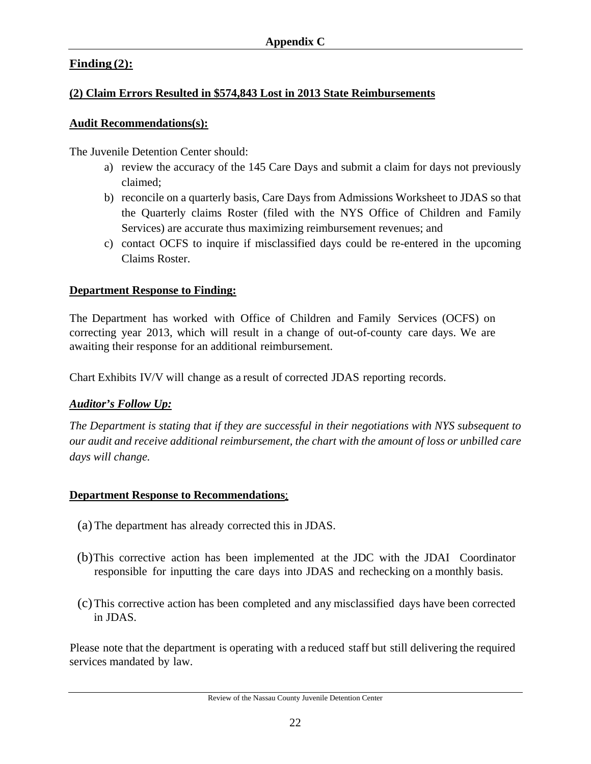# **Finding (2):**

# **(2) Claim Errors Resulted in \$574,843 Lost in 2013 State Reimbursements**

# **Audit Recommendations(s):**

The Juvenile Detention Center should:

- a) review the accuracy of the 145 Care Days and submit a claim for days not previously claimed;
- b) reconcile on a quarterly basis, Care Days from Admissions Worksheet to JDAS so that the Quarterly claims Roster (filed with the NYS Office of Children and Family Services) are accurate thus maximizing reimbursement revenues; and
- c) contact OCFS to inquire if misclassified days could be re-entered in the upcoming Claims Roster.

# **Department Response to Finding:**

The Department has worked with Office of Children and Family Services (OCFS) on correcting year 2013, which will result in a change of out-of-county care days. We are awaiting their response for an additional reimbursement.

Chart Exhibits IV/V will change as a result of corrected JDAS reporting records.

# *Auditor's Follow Up:*

*The Department is stating that if they are successful in their negotiations with NYS subsequent to our audit and receive additional reimbursement, the chart with the amount of loss or unbilled care days will change.* 

# **Department Response to Recommendations**:

- (a) The department has already corrected this in JDAS.
- (b)This corrective action has been implemented at the JDC with the JDAI Coordinator responsible for inputting the care days into JDAS and rechecking on a monthly basis.
- (c)This corrective action has been completed and any misclassified days have been corrected in JDAS.

Please note that the department is operating with a reduced staff but still delivering the required services mandated by law.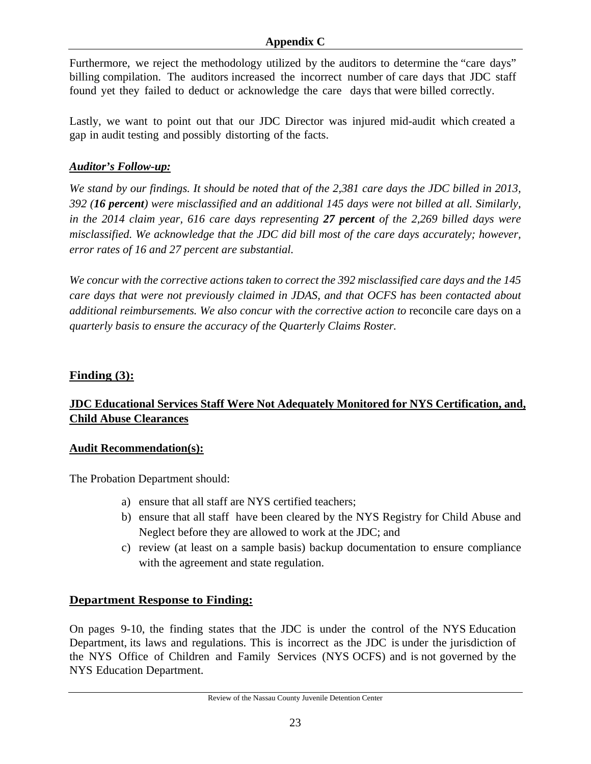#### **Appendix C**

Furthermore, we reject the methodology utilized by the auditors to determine the "care days" billing compilation. The auditors increased the incorrect number of care days that JDC staff found yet they failed to deduct or acknowledge the care days that were billed correctly.

Lastly, we want to point out that our JDC Director was injured mid-audit which created a gap in audit testing and possibly distorting of the facts.

### *Auditor's Follow-up:*

*We stand by our findings. It should be noted that of the 2,381 care days the JDC billed in 2013, 392 (16 percent) were misclassified and an additional 145 days were not billed at all. Similarly, in the 2014 claim year, 616 care days representing 27 percent of the 2,269 billed days were misclassified. We acknowledge that the JDC did bill most of the care days accurately; however, error rates of 16 and 27 percent are substantial.* 

*We concur with the corrective actions taken to correct the 392 misclassified care days and the 145 care days that were not previously claimed in JDAS, and that OCFS has been contacted about additional reimbursements. We also concur with the corrective action to reconcile care days on a quarterly basis to ensure the accuracy of the Quarterly Claims Roster.* 

### **Finding (3):**

# **JDC Educational Services Staff Were Not Adequately Monitored for NYS Certification, and, Child Abuse Clearances**

### **Audit Recommendation(s):**

The Probation Department should:

- a) ensure that all staff are NYS certified teachers;
- b) ensure that all staff have been cleared by the NYS Registry for Child Abuse and Neglect before they are allowed to work at the JDC; and
- c) review (at least on a sample basis) backup documentation to ensure compliance with the agreement and state regulation.

# **Department Response to Finding:**

On pages 9-10, the finding states that the JDC is under the control of the NYS Education Department, its laws and regulations. This is incorrect as the JDC is under the jurisdiction of the NYS Office of Children and Family Services (NYS OCFS) and is not governed by the NYS Education Department.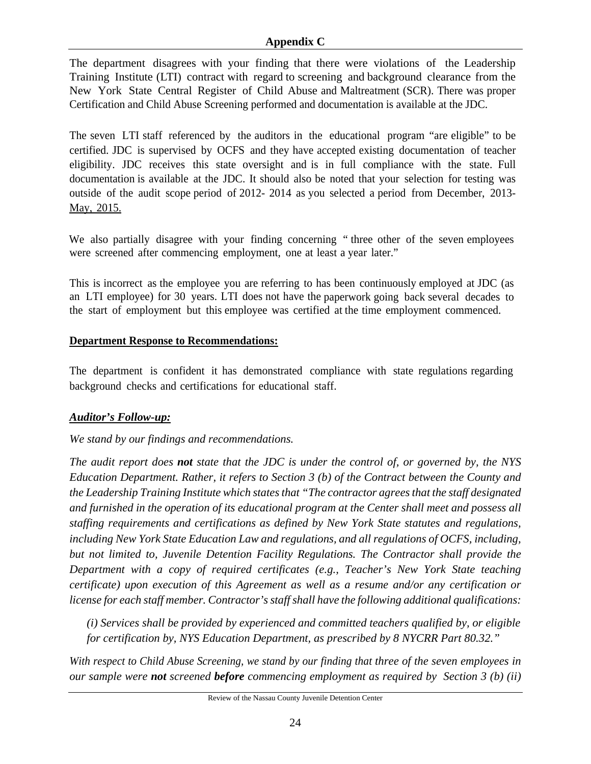#### **Appendix C**

The department disagrees with your finding that there were violations of the Leadership Training Institute (LTI) contract with regard to screening and background clearance from the New York State Central Register of Child Abuse and Maltreatment (SCR). There was proper Certification and Child Abuse Screening performed and documentation is available at the JDC.

The seven LTI staff referenced by the auditors in the educational program "are eligible" to be certified. JDC is supervised by OCFS and they have accepted existing documentation of teacher eligibility. JDC receives this state oversight and is in full compliance with the state. Full documentation is available at the JDC. It should also be noted that your selection for testing was outside of the audit scope period of 2012- 2014 as you selected a period from December, 2013- May, 2015.

We also partially disagree with your finding concerning " three other of the seven employees were screened after commencing employment, one at least a year later."

This is incorrect as the employee you are referring to has been continuously employed at JDC (as an LTI employee) for 30 years. LTI does not have the paperwork going back several decades to the start of employment but this employee was certified at the time employment commenced.

#### **Department Response to Recommendations:**

The department is confident it has demonstrated compliance with state regulations regarding background checks and certifications for educational staff.

### *Auditor's Follow-up:*

### *We stand by our findings and recommendations.*

*The audit report does not state that the JDC is under the control of, or governed by, the NYS Education Department. Rather, it refers to Section 3 (b) of the Contract between the County and the Leadership Training Institute which states that "The contractor agrees that the staff designated and furnished in the operation of its educational program at the Center shall meet and possess all staffing requirements and certifications as defined by New York State statutes and regulations, including New York State Education Law and regulations, and all regulations of OCFS, including, but not limited to, Juvenile Detention Facility Regulations. The Contractor shall provide the Department with a copy of required certificates (e.g., Teacher's New York State teaching certificate) upon execution of this Agreement as well as a resume and/or any certification or license for each staff member. Contractor's staff shall have the following additional qualifications:* 

*(i) Services shall be provided by experienced and committed teachers qualified by, or eligible for certification by, NYS Education Department, as prescribed by 8 NYCRR Part 80.32."* 

*With respect to Child Abuse Screening, we stand by our finding that three of the seven employees in our sample were not screened before commencing employment as required by Section 3 (b) (ii)*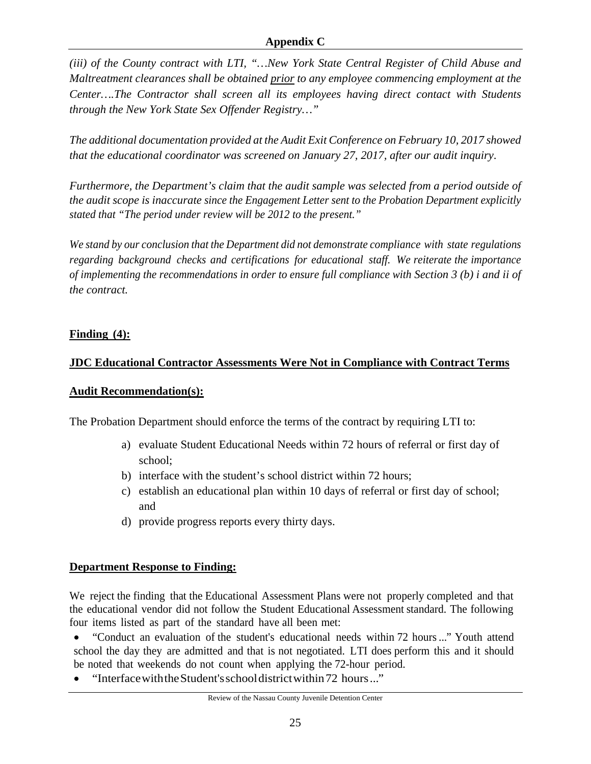*(iii) of the County contract with LTI, "…New York State Central Register of Child Abuse and Maltreatment clearances shall be obtained prior to any employee commencing employment at the Center….The Contractor shall screen all its employees having direct contact with Students through the New York State Sex Offender Registry…"* 

*The additional documentation provided at the Audit Exit Conference on February 10, 2017 showed that the educational coordinator was screened on January 27, 2017, after our audit inquiry*.

*Furthermore, the Department's claim that the audit sample was selected from a period outside of the audit scope is inaccurate since the Engagement Letter sent to the Probation Department explicitly stated that "The period under review will be 2012 to the present."* 

*We stand by our conclusion that the Department did not demonstrate compliance with state regulations regarding background checks and certifications for educational staff. We reiterate the importance of implementing the recommendations in order to ensure full compliance with Section 3 (b) i and ii of the contract.* 

# **Finding (4):**

# **JDC Educational Contractor Assessments Were Not in Compliance with Contract Terms**

# **Audit Recommendation(s):**

The Probation Department should enforce the terms of the contract by requiring LTI to:

- a) evaluate Student Educational Needs within 72 hours of referral or first day of school;
- b) interface with the student's school district within 72 hours;
- c) establish an educational plan within 10 days of referral or first day of school; and
- d) provide progress reports every thirty days.

# **Department Response to Finding:**

We reject the finding that the Educational Assessment Plans were not properly completed and that the educational vendor did not follow the Student Educational Assessment standard. The following four items listed as part of the standard have all been met:

• "Conduct an evaluation of the student's educational needs within 72 hours ..." Youth attend school the day they are admitted and that is not negotiated. LTI does perform this and it should be noted that weekends do not count when applying the 72-hour period.

"Interface with the Student's school district within 72 hours..."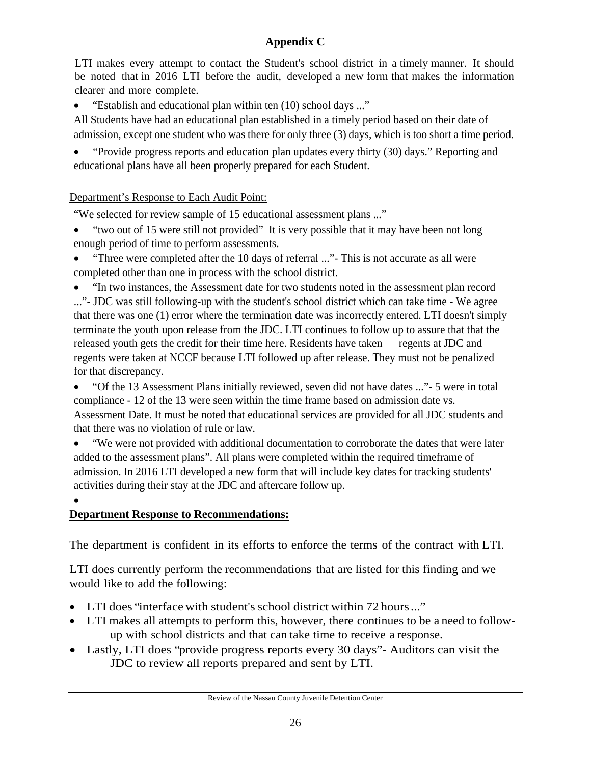LTI makes every attempt to contact the Student's school district in a timely manner. It should be noted that in 2016 LTI before the audit, developed a new form that makes the information clearer and more complete.

• "Establish and educational plan within ten (10) school days ..."

All Students have had an educational plan established in a timely period based on their date of admission, except one student who was there for only three (3) days, which is too short a time period.

 "Provide progress reports and education plan updates every thirty (30) days." Reporting and educational plans have all been properly prepared for each Student.

# Department's Response to Each Audit Point:

"We selected for review sample of 15 educational assessment plans ..."

- "two out of 15 were still not provided" It is very possible that it may have been not long enough period of time to perform assessments.
- "Three were completed after the 10 days of referral ..." This is not accurate as all were completed other than one in process with the school district.

 "In two instances, the Assessment date for two students noted in the assessment plan record ..."- JDC was still following-up with the student's school district which can take time - We agree that there was one (1) error where the termination date was incorrectly entered. LTI doesn't simply terminate the youth upon release from the JDC. LTI continues to follow up to assure that that the released youth gets the credit for their time here. Residents have taken regents at JDC and regents were taken at NCCF because LTI followed up after release. They must not be penalized for that discrepancy.

 "Of the 13 Assessment Plans initially reviewed, seven did not have dates ..."- 5 were in total compliance - 12 of the 13 were seen within the time frame based on admission date vs. Assessment Date. It must be noted that educational services are provided for all JDC students and that there was no violation of rule or law.

 "We were not provided with additional documentation to corroborate the dates that were later added to the assessment plans". All plans were completed within the required timeframe of admission. In 2016 LTI developed a new form that will include key dates for tracking students' activities during their stay at the JDC and aftercare follow up.

 $\bullet$ 

# **Department Response to Recommendations:**

The department is confident in its efforts to enforce the terms of the contract with LTI.

LTI does currently perform the recommendations that are listed for this finding and we would like to add the following:

- LTI does "interface with student's school district within 72 hours ..."
- LTI makes all attempts to perform this, however, there continues to be a need to followup with school districts and that can take time to receive a response.
- Lastly, LTI does "provide progress reports every 30 days"- Auditors can visit the JDC to review all reports prepared and sent by LTI.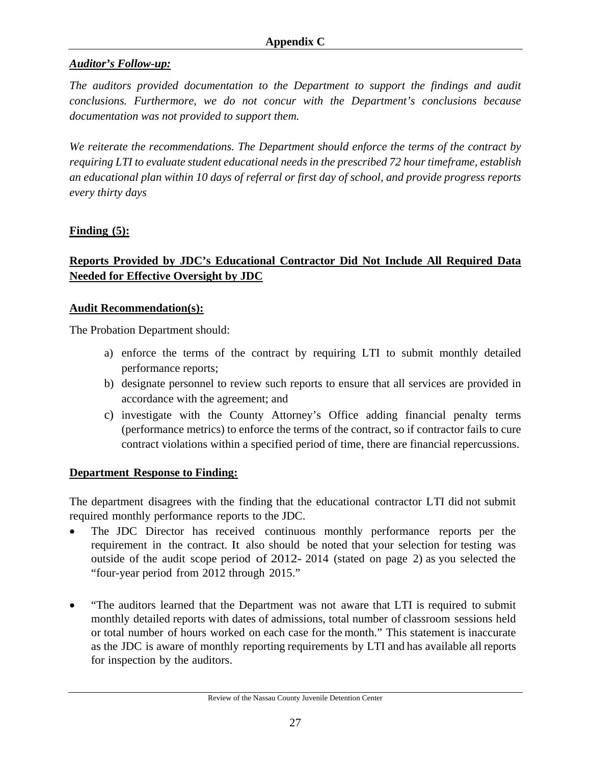# *Auditor's Follow-up:*

*The auditors provided documentation to the Department to support the findings and audit conclusions. Furthermore, we do not concur with the Department's conclusions because documentation was not provided to support them.* 

*We reiterate the recommendations. The Department should enforce the terms of the contract by requiring LTI to evaluate student educational needs in the prescribed 72 hour timeframe, establish an educational plan within 10 days of referral or first day of school, and provide progress reports every thirty days* 

### **Finding (5):**

# **Reports Provided by JDC's Educational Contractor Did Not Include All Required Data Needed for Effective Oversight by JDC**

#### **Audit Recommendation(s):**

The Probation Department should:

- a) enforce the terms of the contract by requiring LTI to submit monthly detailed performance reports;
- b) designate personnel to review such reports to ensure that all services are provided in accordance with the agreement; and
- c) investigate with the County Attorney's Office adding financial penalty terms (performance metrics) to enforce the terms of the contract, so if contractor fails to cure contract violations within a specified period of time, there are financial repercussions.

#### **Department Response to Finding:**

The department disagrees with the finding that the educational contractor LTI did not submit required monthly performance reports to the JDC.

- The JDC Director has received continuous monthly performance reports per the requirement in the contract. It also should be noted that your selection for testing was outside of the audit scope period of 2012- 2014 (stated on page 2) as you selected the "four-year period from 2012 through 2015."
- "The auditors learned that the Department was not aware that LTI is required to submit monthly detailed reports with dates of admissions, total number of classroom sessions held or total number of hours worked on each case for the month." This statement is inaccurate as the JDC is aware of monthly reporting requirements by LTI and has available all reports for inspection by the auditors.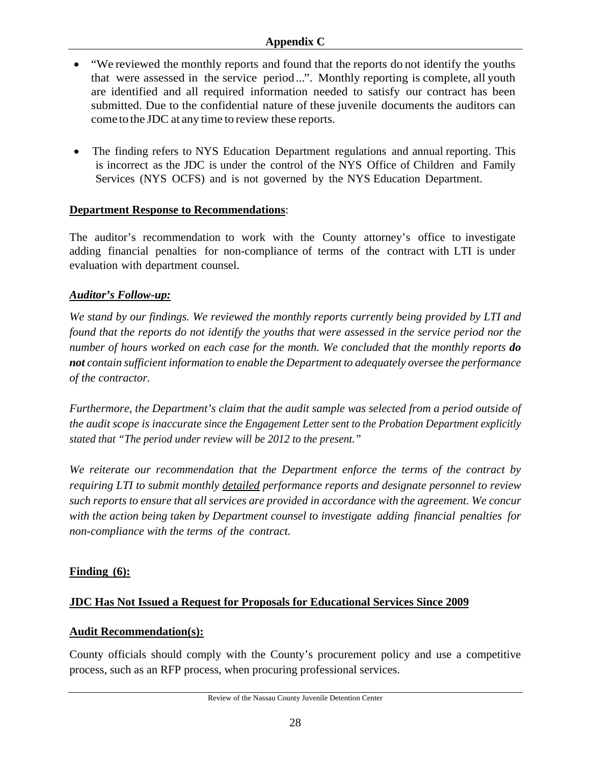### **Appendix C**

- "We reviewed the monthly reports and found that the reports do not identify the youths that were assessed in the service period ...". Monthly reporting is complete, all youth are identified and all required information needed to satisfy our contract has been submitted. Due to the confidential nature of these juvenile documents the auditors can come to the JDC at any time to review these reports.
- The finding refers to NYS Education Department regulations and annual reporting. This is incorrect as the JDC is under the control of the NYS Office of Children and Family Services (NYS OCFS) and is not governed by the NYS Education Department.

### **Department Response to Recommendations**:

The auditor's recommendation to work with the County attorney's office to investigate adding financial penalties for non-compliance of terms of the contract with LTI is under evaluation with department counsel.

# *Auditor's Follow-up:*

*We stand by our findings. We reviewed the monthly reports currently being provided by LTI and found that the reports do not identify the youths that were assessed in the service period nor the number of hours worked on each case for the month. We concluded that the monthly reports do not contain sufficient information to enable the Department to adequately oversee the performance of the contractor.* 

*Furthermore, the Department's claim that the audit sample was selected from a period outside of the audit scope is inaccurate since the Engagement Letter sent to the Probation Department explicitly stated that "The period under review will be 2012 to the present."* 

*We reiterate our recommendation that the Department enforce the terms of the contract by requiring LTI to submit monthly detailed performance reports and designate personnel to review such reports to ensure that all services are provided in accordance with the agreement. We concur with the action being taken by Department counsel to investigate adding financial penalties for non-compliance with the terms of the contract.* 

# **Finding (6):**

# **JDC Has Not Issued a Request for Proposals for Educational Services Since 2009**

### **Audit Recommendation(s):**

County officials should comply with the County's procurement policy and use a competitive process, such as an RFP process, when procuring professional services.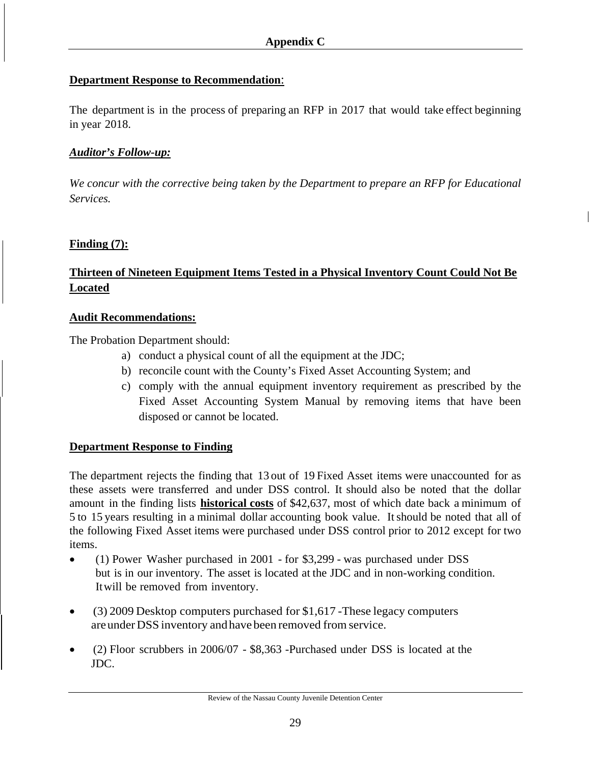### **Department Response to Recommendation**:

The department is in the process of preparing an RFP in 2017 that would take effect beginning in year 2018.

### *Auditor's Follow-up:*

*We concur with the corrective being taken by the Department to prepare an RFP for Educational Services.* 

### **Finding (7):**

# **Thirteen of Nineteen Equipment Items Tested in a Physical Inventory Count Could Not Be Located**

#### **Audit Recommendations:**

The Probation Department should:

- a) conduct a physical count of all the equipment at the JDC;
- b) reconcile count with the County's Fixed Asset Accounting System; and
- c) comply with the annual equipment inventory requirement as prescribed by the Fixed Asset Accounting System Manual by removing items that have been disposed or cannot be located.

### **Department Response to Finding**

The department rejects the finding that 13 out of 19 Fixed Asset items were unaccounted for as these assets were transferred and under DSS control. It should also be noted that the dollar amount in the finding lists **historical costs** of \$42,637, most of which date back a minimum of 5 to 15 years resulting in a minimal dollar accounting book value. Itshould be noted that all of the following Fixed Asset items were purchased under DSS control prior to 2012 except for two items.

- (1) Power Washer purchased in 2001 for \$3,299 was purchased under DSS but is in our inventory. The asset is located at the JDC and in non-working condition. Itwill be removed from inventory.
- (3) 2009 Desktop computers purchased for \$1,617 -These legacy computers are under DSS inventory and have been removed from service.
- (2) Floor scrubbers in 2006/07 \$8,363 -Purchased under DSS is located at the JDC.